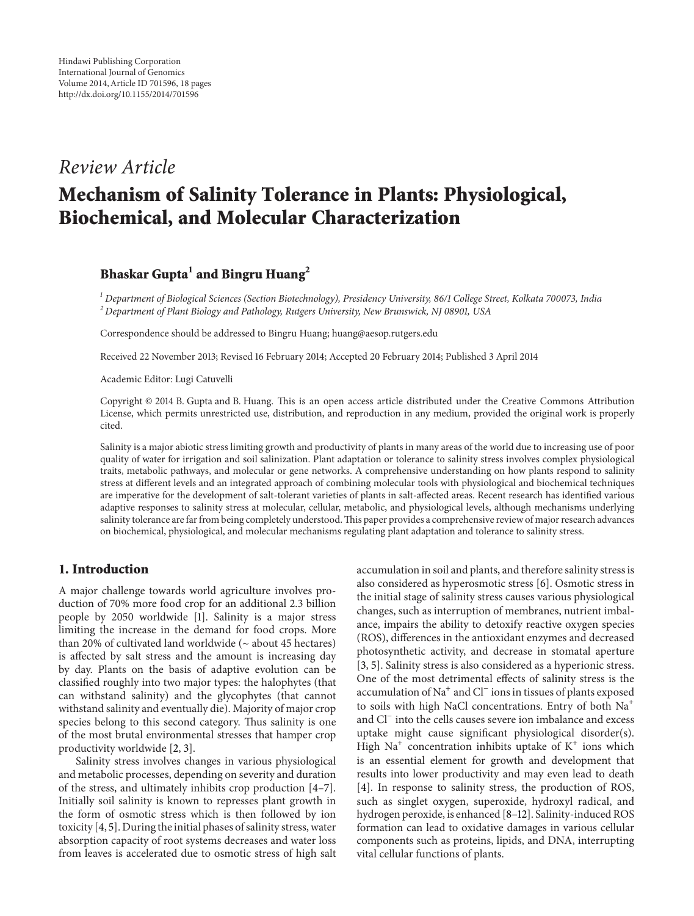# *Review Article*

# **Mechanism of Salinity Tolerance in Plants: Physiological, Biochemical, and Molecular Characterization**

# **Bhaskar Gupta<sup>1</sup> and Bingru Huang<sup>2</sup>**

*<sup>1</sup> Department of Biological Sciences (Section Biotechnology), Presidency University, 86/1 College Street, Kolkata 700073, India <sup>2</sup> Department of Plant Biology and Pathology, Rutgers University, New Brunswick, NJ 08901, USA*

Correspondence should be addressed to Bingru Huang; huang@aesop.rutgers.edu

Received 22 November 2013; Revised 16 February 2014; Accepted 20 February 2014; Published 3 April 2014

Academic Editor: Lugi Catuvelli

Copyright © 2014 B. Gupta and B. Huang. This is an open access article distributed under the Creative Commons Attribution License, which permits unrestricted use, distribution, and reproduction in any medium, provided the original work is properly cited.

Salinity is a major abiotic stress limiting growth and productivity of plants in many areas of the world due to increasing use of poor quality of water for irrigation and soil salinization. Plant adaptation or tolerance to salinity stress involves complex physiological traits, metabolic pathways, and molecular or gene networks. A comprehensive understanding on how plants respond to salinity stress at different levels and an integrated approach of combining molecular tools with physiological and biochemical techniques are imperative for the development of salt-tolerant varieties of plants in salt-affected areas. Recent research has identified various adaptive responses to salinity stress at molecular, cellular, metabolic, and physiological levels, although mechanisms underlying salinity tolerance are far from being completely understood.This paper provides a comprehensive review of major research advances on biochemical, physiological, and molecular mechanisms regulating plant adaptation and tolerance to salinity stress.

### **1. Introduction**

A major challenge towards world agriculture involves production of 70% more food crop for an additional 2.3 billion people by 2050 worldwide [\[1](#page-10-0)]. Salinity is a major stress limiting the increase in the demand for food crops. More than 20% of cultivated land worldwide (∼ about 45 hectares) is affected by salt stress and the amount is increasing day by day. Plants on the basis of adaptive evolution can be classified roughly into two major types: the halophytes (that can withstand salinity) and the glycophytes (that cannot withstand salinity and eventually die). Majority of major crop species belong to this second category. Thus salinity is one of the most brutal environmental stresses that hamper crop productivity worldwide [\[2](#page-10-1), [3](#page-10-2)].

Salinity stress involves changes in various physiological and metabolic processes, depending on severity and duration of the stress, and ultimately inhibits crop production [\[4](#page-10-3)[–7\]](#page-10-4). Initially soil salinity is known to represses plant growth in the form of osmotic stress which is then followed by ion toxicity [\[4](#page-10-3), [5](#page-10-5)]. During the initial phases of salinity stress, water absorption capacity of root systems decreases and water loss from leaves is accelerated due to osmotic stress of high salt accumulation in soil and plants, and therefore salinity stress is also considered as hyperosmotic stress [\[6](#page-10-6)]. Osmotic stress in the initial stage of salinity stress causes various physiological changes, such as interruption of membranes, nutrient imbalance, impairs the ability to detoxify reactive oxygen species (ROS), differences in the antioxidant enzymes and decreased photosynthetic activity, and decrease in stomatal aperture [\[3,](#page-10-2) [5\]](#page-10-5). Salinity stress is also considered as a hyperionic stress. One of the most detrimental effects of salinity stress is the accumulation of Na<sup>+</sup> and Cl<sup>−</sup> ions in tissues of plants exposed to soils with high NaCl concentrations. Entry of both Na<sup>+</sup> and Cl<sup>−</sup> into the cells causes severe ion imbalance and excess uptake might cause significant physiological disorder(s). High  $Na<sup>+</sup>$  concentration inhibits uptake of  $K<sup>+</sup>$  ions which is an essential element for growth and development that results into lower productivity and may even lead to death [\[4\]](#page-10-3). In response to salinity stress, the production of ROS, such as singlet oxygen, superoxide, hydroxyl radical, and hydrogen peroxide, is enhanced [\[8](#page-10-7)[–12\]](#page-10-8). Salinity-induced ROS formation can lead to oxidative damages in various cellular components such as proteins, lipids, and DNA, interrupting vital cellular functions of plants.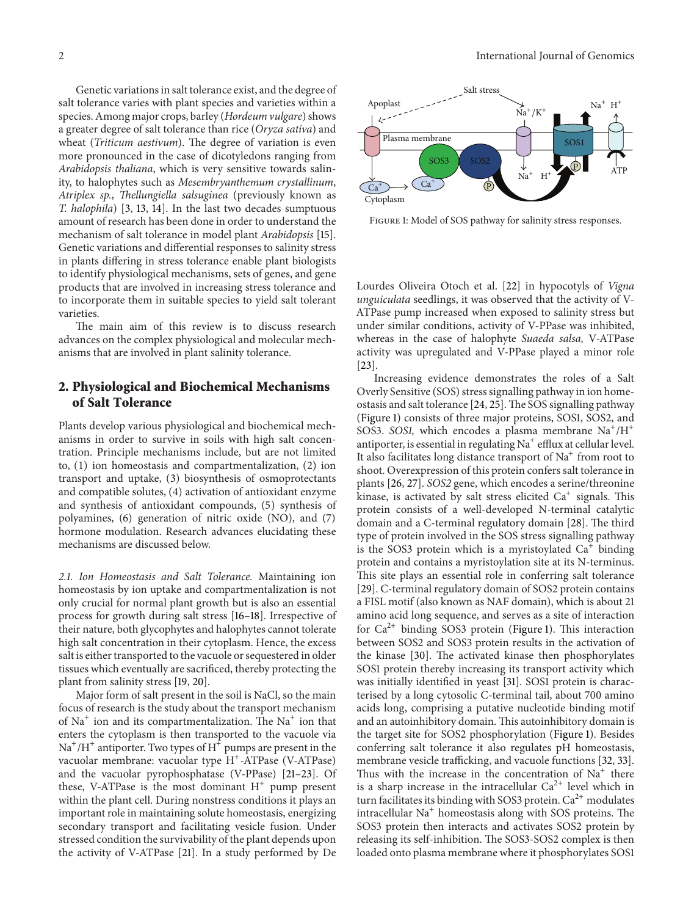Genetic variations in salt tolerance exist, and the degree of salt tolerance varies with plant species and varieties within a species. Among major crops, barley (*Hordeum vulgare*) shows a greater degree of salt tolerance than rice (*Oryza sativa*) and wheat (*Triticum aestivum*). The degree of variation is even more pronounced in the case of dicotyledons ranging from *Arabidopsis thaliana*, which is very sensitive towards salinity, to halophytes such as *Mesembryanthemum crystallinum*, *Atriplex sp.*, *Thellungiella salsuginea* (previously known as *T. halophila*) [\[3,](#page-10-2) [13](#page-10-9), [14\]](#page-10-10). In the last two decades sumptuous amount of research has been done in order to understand the mechanism of salt tolerance in model plant *Arabidopsis* [\[15\]](#page-10-11). Genetic variations and differential responses to salinity stress in plants differing in stress tolerance enable plant biologists to identify physiological mechanisms, sets of genes, and gene products that are involved in increasing stress tolerance and to incorporate them in suitable species to yield salt tolerant varieties.

The main aim of this review is to discuss research advances on the complex physiological and molecular mechanisms that are involved in plant salinity tolerance.

### **2. Physiological and Biochemical Mechanisms of Salt Tolerance**

Plants develop various physiological and biochemical mechanisms in order to survive in soils with high salt concentration. Principle mechanisms include, but are not limited to, (1) ion homeostasis and compartmentalization, (2) ion transport and uptake, (3) biosynthesis of osmoprotectants and compatible solutes, (4) activation of antioxidant enzyme and synthesis of antioxidant compounds, (5) synthesis of polyamines, (6) generation of nitric oxide (NO), and (7) hormone modulation. Research advances elucidating these mechanisms are discussed below.

<span id="page-1-1"></span>*2.1. Ion Homeostasis and Salt Tolerance.* Maintaining ion homeostasis by ion uptake and compartmentalization is not only crucial for normal plant growth but is also an essential process for growth during salt stress [\[16](#page-10-12)[–18\]](#page-11-0). Irrespective of their nature, both glycophytes and halophytes cannot tolerate high salt concentration in their cytoplasm. Hence, the excess salt is either transported to the vacuole or sequestered in older tissues which eventually are sacrificed, thereby protecting the plant from salinity stress [\[19,](#page-11-1) [20](#page-11-2)].

Major form of salt present in the soil is NaCl, so the main focus of research is the study about the transport mechanism of  $Na<sup>+</sup>$  ion and its compartmentalization. The  $Na<sup>+</sup>$  ion that enters the cytoplasm is then transported to the vacuole via  $Na<sup>+</sup>/H<sup>+</sup>$  antiporter. Two types of  $H<sup>+</sup>$  pumps are present in the vacuolar membrane: vacuolar type H<sup>+</sup>-ATPase (V-ATPase) and the vacuolar pyrophosphatase (V-PPase) [\[21](#page-11-3)[–23\]](#page-11-4). Of these, V-ATPase is the most dominant  $H^+$  pump present within the plant cell. During nonstress conditions it plays an important role in maintaining solute homeostasis, energizing secondary transport and facilitating vesicle fusion. Under stressed condition the survivability of the plant depends upon the activity of V-ATPase [\[21](#page-11-3)]. In a study performed by De



<span id="page-1-0"></span>Figure 1: Model of SOS pathway for salinity stress responses.

Lourdes Oliveira Otoch et al. [\[22](#page-11-5)] in hypocotyls of *Vigna unguiculata* seedlings, it was observed that the activity of V-ATPase pump increased when exposed to salinity stress but under similar conditions, activity of V-PPase was inhibited, whereas in the case of halophyte *Suaeda salsa,* V-ATPase activity was upregulated and V-PPase played a minor role [\[23](#page-11-4)].

Increasing evidence demonstrates the roles of a Salt Overly Sensitive (SOS) stress signalling pathway in ion homeostasis and salt tolerance [\[24](#page-11-6), [25\]](#page-11-7).The SOS signalling pathway [\(Figure 1\)](#page-1-0) consists of three major proteins, SOS1, SOS2, and SOS3. *SOS1*, which encodes a plasma membrane Na<sup>+</sup>/H<sup>+</sup> antiporter, is essential in regulating Na<sup>+</sup> efflux at cellular level. It also facilitates long distance transport of  $Na<sup>+</sup>$  from root to shoot. Overexpression of this protein confers salt tolerance in plants [\[26,](#page-11-8) [27](#page-11-9)]. *SOS2* gene, which encodes a serine/threonine kinase, is activated by salt stress elicited  $Ca<sup>+</sup>$  signals. This protein consists of a well-developed N-terminal catalytic domain and a C-terminal regulatory domain [\[28](#page-11-10)]. The third type of protein involved in the SOS stress signalling pathway is the SOS3 protein which is a myristoylated  $Ca<sup>+</sup>$  binding protein and contains a myristoylation site at its N-terminus. This site plays an essential role in conferring salt tolerance [\[29\]](#page-11-11). C-terminal regulatory domain of SOS2 protein contains a FISL motif (also known as NAF domain), which is about 21 amino acid long sequence, and serves as a site of interaction for  $Ca^{2+}$  binding SOS3 protein [\(Figure 1\)](#page-1-0). This interaction between SOS2 and SOS3 protein results in the activation of the kinase [\[30\]](#page-11-12). The activated kinase then phosphorylates SOS1 protein thereby increasing its transport activity which was initially identified in yeast [\[31\]](#page-11-13). SOS1 protein is characterised by a long cytosolic C-terminal tail, about 700 amino acids long, comprising a putative nucleotide binding motif and an autoinhibitory domain. This autoinhibitory domain is the target site for SOS2 phosphorylation [\(Figure 1\)](#page-1-0). Besides conferring salt tolerance it also regulates pH homeostasis, membrane vesicle trafficking, and vacuole functions [\[32,](#page-11-14) [33](#page-11-15)]. Thus with the increase in the concentration of  $Na<sup>+</sup>$  there is a sharp increase in the intracellular  $Ca^{2+}$  level which in turn facilitates its binding with SOS3 protein.  $Ca^{2+}$  modulates intracellular Na<sup>+</sup> homeostasis along with SOS proteins. The SOS3 protein then interacts and activates SOS2 protein by releasing its self-inhibition. The SOS3-SOS2 complex is then loaded onto plasma membrane where it phosphorylates SOS1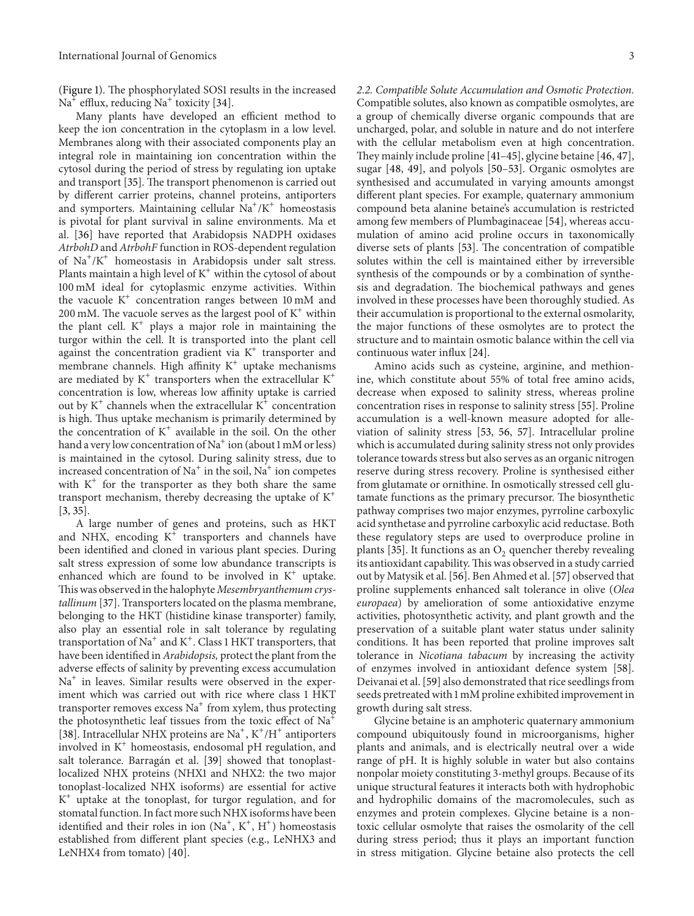[\(Figure 1\)](#page-1-0). The phosphorylated SOS1 results in the increased  $Na<sup>+</sup>$  efflux, reducing Na<sup>+</sup> toxicity [\[34\]](#page-11-16).

Many plants have developed an efficient method to keep the ion concentration in the cytoplasm in a low level. Membranes along with their associated components play an integral role in maintaining ion concentration within the cytosol during the period of stress by regulating ion uptake and transport [\[35](#page-11-17)]. The transport phenomenon is carried out by different carrier proteins, channel proteins, antiporters and symporters. Maintaining cellular  $\text{Na}^+/\text{K}^+$  homeostasis is pivotal for plant survival in saline environments. Ma et al. [\[36](#page-11-18)] have reported that Arabidopsis NADPH oxidases *AtrbohD* and *AtrbohF* function in ROS-dependent regulation of Na+/K<sup>+</sup> homeostasis in Arabidopsis under salt stress. Plants maintain a high level of  $K^+$  within the cytosol of about 100 mM ideal for cytoplasmic enzyme activities. Within the vacuole  $K^+$  concentration ranges between 10 mM and 200 mM. The vacuole serves as the largest pool of  $K^+$  within the plant cell.  $K^+$  plays a major role in maintaining the turgor within the cell. It is transported into the plant cell against the concentration gradient via  $K^+$  transporter and membrane channels. High affinity  $K^+$  uptake mechanisms are mediated by  $K^+$  transporters when the extracellular  $K^+$ concentration is low, whereas low affinity uptake is carried out by  $K^+$  channels when the extracellular  $K^+$  concentration is high. Thus uptake mechanism is primarily determined by the concentration of  $K^+$  available in the soil. On the other hand a very low concentration of  $\mathrm{Na}^+$  ion (about 1 mM or less) is maintained in the cytosol. During salinity stress, due to increased concentration of  $Na<sup>+</sup>$  in the soil,  $Na<sup>+</sup>$  ion competes with  $K^+$  for the transporter as they both share the same transport mechanism, thereby decreasing the uptake of  $K^+$ [\[3,](#page-10-2) [35](#page-11-17)].

A large number of genes and proteins, such as HKT and NHX, encoding  $K^+$  transporters and channels have been identified and cloned in various plant species. During salt stress expression of some low abundance transcripts is enhanced which are found to be involved in  $K^+$  uptake. This was observed in the halophyte *Mesembryanthemum crystallinum* [\[37](#page-11-19)]. Transporters located on the plasma membrane, belonging to the HKT (histidine kinase transporter) family, also play an essential role in salt tolerance by regulating transportation of  $\text{Na}^+$  and  $\text{K}^+$ . Class 1 HKT transporters, that have been identified in *Arabidopsis,* protect the plant from the adverse effects of salinity by preventing excess accumulation  $Na<sup>+</sup>$  in leaves. Similar results were observed in the experiment which was carried out with rice where class 1 HKT transporter removes excess  $Na<sup>+</sup>$  from xylem, thus protecting the photosynthetic leaf tissues from the toxic effect of  $Na<sup>+</sup>$ [\[38](#page-11-20)]. Intracellular NHX proteins are Na<sup>+</sup>, K<sup>+</sup>/H<sup>+</sup> antiporters involved in  $K^+$  homeostasis, endosomal pH regulation, and salt tolerance. Barragán et al. [[39\]](#page-11-21) showed that tonoplastlocalized NHX proteins (NHX1 and NHX2: the two major tonoplast-localized NHX isoforms) are essential for active  $K^+$  uptake at the tonoplast, for turgor regulation, and for stomatal function. In fact more such NHX isoforms have been identified and their roles in ion  $(Na^+, K^+, H^+)$  homeostasis established from different plant species (e.g., LeNHX3 and LeNHX4 from tomato) [\[40](#page-11-22)].

<span id="page-2-0"></span>*2.2. Compatible Solute Accumulation and Osmotic Protection.* Compatible solutes, also known as compatible osmolytes, are a group of chemically diverse organic compounds that are uncharged, polar, and soluble in nature and do not interfere with the cellular metabolism even at high concentration. They mainly include proline [\[41](#page-11-23)[–45](#page-11-24)], glycine betaine [\[46](#page-11-25), [47](#page-11-26)], sugar [\[48,](#page-12-0) [49](#page-12-1)], and polyols [\[50](#page-12-2)[–53\]](#page-12-3). Organic osmolytes are synthesised and accumulated in varying amounts amongst different plant species. For example, quaternary ammonium compound beta alanine betaine's accumulation is restricted among few members of Plumbaginaceae [\[54](#page-12-4)], whereas accumulation of amino acid proline occurs in taxonomically diverse sets of plants [\[53](#page-12-3)]. The concentration of compatible solutes within the cell is maintained either by irreversible synthesis of the compounds or by a combination of synthesis and degradation. The biochemical pathways and genes involved in these processes have been thoroughly studied. As their accumulation is proportional to the external osmolarity, the major functions of these osmolytes are to protect the structure and to maintain osmotic balance within the cell via continuous water influx [\[24](#page-11-6)].

Amino acids such as cysteine, arginine, and methionine, which constitute about 55% of total free amino acids, decrease when exposed to salinity stress, whereas proline concentration rises in response to salinity stress [\[55\]](#page-12-5). Proline accumulation is a well-known measure adopted for alleviation of salinity stress [\[53,](#page-12-3) [56](#page-12-6), [57\]](#page-12-7). Intracellular proline which is accumulated during salinity stress not only provides tolerance towards stress but also serves as an organic nitrogen reserve during stress recovery. Proline is synthesised either from glutamate or ornithine. In osmotically stressed cell glutamate functions as the primary precursor. The biosynthetic pathway comprises two major enzymes, pyrroline carboxylic acid synthetase and pyrroline carboxylic acid reductase. Both these regulatory steps are used to overproduce proline in plants [\[35](#page-11-17)]. It functions as an  $O_2$  quencher thereby revealing its antioxidant capability.This was observed in a study carried out by Matysik et al. [\[56](#page-12-6)]. Ben Ahmed et al. [\[57](#page-12-7)] observed that proline supplements enhanced salt tolerance in olive (*Olea europaea*) by amelioration of some antioxidative enzyme activities, photosynthetic activity, and plant growth and the preservation of a suitable plant water status under salinity conditions. It has been reported that proline improves salt tolerance in *Nicotiana tabacum* by increasing the activity of enzymes involved in antioxidant defence system [\[58](#page-12-8)]. Deivanai et al. [\[59](#page-12-9)] also demonstrated that rice seedlings from seeds pretreated with 1 mM proline exhibited improvement in growth during salt stress.

Glycine betaine is an amphoteric quaternary ammonium compound ubiquitously found in microorganisms, higher plants and animals, and is electrically neutral over a wide range of pH. It is highly soluble in water but also contains nonpolar moiety constituting 3-methyl groups. Because of its unique structural features it interacts both with hydrophobic and hydrophilic domains of the macromolecules, such as enzymes and protein complexes. Glycine betaine is a nontoxic cellular osmolyte that raises the osmolarity of the cell during stress period; thus it plays an important function in stress mitigation. Glycine betaine also protects the cell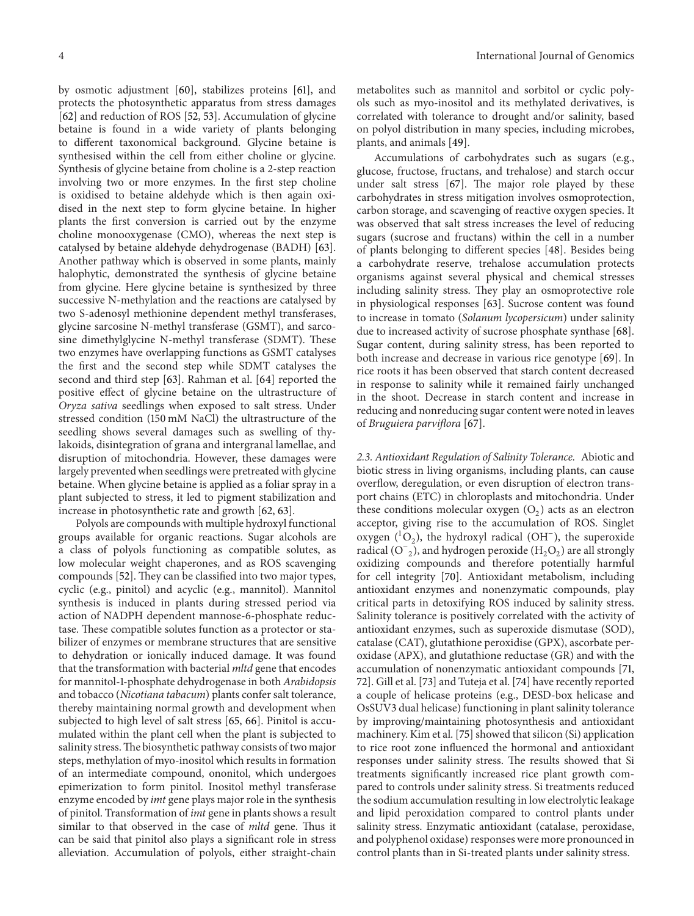by osmotic adjustment [\[60\]](#page-12-10), stabilizes proteins [\[61](#page-12-11)], and protects the photosynthetic apparatus from stress damages [\[62](#page-12-12)] and reduction of ROS [\[52](#page-12-13), [53\]](#page-12-3). Accumulation of glycine betaine is found in a wide variety of plants belonging to different taxonomical background. Glycine betaine is synthesised within the cell from either choline or glycine. Synthesis of glycine betaine from choline is a 2-step reaction involving two or more enzymes. In the first step choline is oxidised to betaine aldehyde which is then again oxidised in the next step to form glycine betaine. In higher plants the first conversion is carried out by the enzyme choline monooxygenase (CMO), whereas the next step is catalysed by betaine aldehyde dehydrogenase (BADH) [\[63\]](#page-12-14). Another pathway which is observed in some plants, mainly halophytic, demonstrated the synthesis of glycine betaine from glycine. Here glycine betaine is synthesized by three successive N-methylation and the reactions are catalysed by two S-adenosyl methionine dependent methyl transferases, glycine sarcosine N-methyl transferase (GSMT), and sarcosine dimethylglycine N-methyl transferase (SDMT). These two enzymes have overlapping functions as GSMT catalyses the first and the second step while SDMT catalyses the second and third step [\[63\]](#page-12-14). Rahman et al. [\[64\]](#page-12-15) reported the positive effect of glycine betaine on the ultrastructure of *Oryza sativa* seedlings when exposed to salt stress. Under stressed condition (150 mM NaCl) the ultrastructure of the seedling shows several damages such as swelling of thylakoids, disintegration of grana and intergranal lamellae, and disruption of mitochondria. However, these damages were largely prevented when seedlings were pretreated with glycine betaine. When glycine betaine is applied as a foliar spray in a plant subjected to stress, it led to pigment stabilization and increase in photosynthetic rate and growth [\[62,](#page-12-12) [63\]](#page-12-14).

Polyols are compounds with multiple hydroxyl functional groups available for organic reactions. Sugar alcohols are a class of polyols functioning as compatible solutes, as low molecular weight chaperones, and as ROS scavenging compounds [\[52](#page-12-13)]. They can be classified into two major types, cyclic (e.g., pinitol) and acyclic (e.g., mannitol). Mannitol synthesis is induced in plants during stressed period via action of NADPH dependent mannose-6-phosphate reductase. These compatible solutes function as a protector or stabilizer of enzymes or membrane structures that are sensitive to dehydration or ionically induced damage. It was found that the transformation with bacterial *mltd* gene that encodes for mannitol-1-phosphate dehydrogenase in both *Arabidopsis* and tobacco (*Nicotiana tabacum*) plants confer salt tolerance, thereby maintaining normal growth and development when subjected to high level of salt stress [\[65](#page-12-16), [66](#page-12-17)]. Pinitol is accumulated within the plant cell when the plant is subjected to salinity stress.The biosynthetic pathway consists of two major steps, methylation of myo-inositol which results in formation of an intermediate compound, ononitol, which undergoes epimerization to form pinitol. Inositol methyl transferase enzyme encoded by *imt* gene plays major role in the synthesis of pinitol. Transformation of *imt* gene in plants shows a result similar to that observed in the case of *mltd* gene. Thus it can be said that pinitol also plays a significant role in stress alleviation. Accumulation of polyols, either straight-chain

metabolites such as mannitol and sorbitol or cyclic polyols such as myo-inositol and its methylated derivatives, is correlated with tolerance to drought and/or salinity, based on polyol distribution in many species, including microbes, plants, and animals [\[49\]](#page-12-1).

Accumulations of carbohydrates such as sugars (e.g., glucose, fructose, fructans, and trehalose) and starch occur under salt stress [\[67](#page-12-18)]. The major role played by these carbohydrates in stress mitigation involves osmoprotection, carbon storage, and scavenging of reactive oxygen species. It was observed that salt stress increases the level of reducing sugars (sucrose and fructans) within the cell in a number of plants belonging to different species [\[48](#page-12-0)]. Besides being a carbohydrate reserve, trehalose accumulation protects organisms against several physical and chemical stresses including salinity stress. They play an osmoprotective role in physiological responses [\[63](#page-12-14)]. Sucrose content was found to increase in tomato (*Solanum lycopersicum*) under salinity due to increased activity of sucrose phosphate synthase [\[68](#page-12-19)]. Sugar content, during salinity stress, has been reported to both increase and decrease in various rice genotype [\[69\]](#page-12-20). In rice roots it has been observed that starch content decreased in response to salinity while it remained fairly unchanged in the shoot. Decrease in starch content and increase in reducing and nonreducing sugar content were noted in leaves of *Bruguiera parviflora* [\[67\]](#page-12-18).

*2.3. Antioxidant Regulation of Salinity Tolerance.* Abiotic and biotic stress in living organisms, including plants, can cause overflow, deregulation, or even disruption of electron transport chains (ETC) in chloroplasts and mitochondria. Under these conditions molecular oxygen  $(O_2)$  acts as an electron acceptor, giving rise to the accumulation of ROS. Singlet oxygen  $(^1O_2)$ , the hydroxyl radical (OH<sup>-</sup>), the superoxide radical ( $O^{-}_{2}$ ), and hydrogen peroxide (H<sub>2</sub>O<sub>2</sub>) are all strongly oxidizing compounds and therefore potentially harmful for cell integrity [\[70](#page-12-21)]. Antioxidant metabolism, including antioxidant enzymes and nonenzymatic compounds, play critical parts in detoxifying ROS induced by salinity stress. Salinity tolerance is positively correlated with the activity of antioxidant enzymes, such as superoxide dismutase (SOD), catalase (CAT), glutathione peroxidise (GPX), ascorbate peroxidase (APX), and glutathione reductase (GR) and with the accumulation of nonenzymatic antioxidant compounds [\[71](#page-12-22), [72\]](#page-12-23). Gill et al. [\[73](#page-12-24)] and Tuteja et al. [\[74](#page-12-25)] have recently reported a couple of helicase proteins (e.g., DESD-box helicase and OsSUV3 dual helicase) functioning in plant salinity tolerance by improving/maintaining photosynthesis and antioxidant machinery. Kim et al. [\[75](#page-12-26)] showed that silicon (Si) application to rice root zone influenced the hormonal and antioxidant responses under salinity stress. The results showed that Si treatments significantly increased rice plant growth compared to controls under salinity stress. Si treatments reduced the sodium accumulation resulting in low electrolytic leakage and lipid peroxidation compared to control plants under salinity stress. Enzymatic antioxidant (catalase, peroxidase, and polyphenol oxidase) responses were more pronounced in control plants than in Si-treated plants under salinity stress.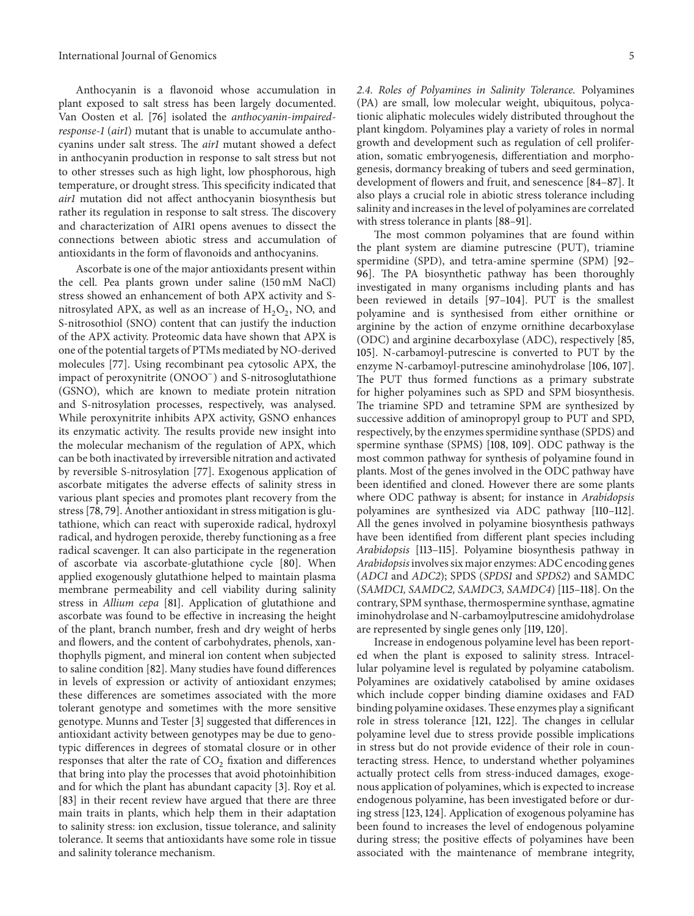Anthocyanin is a flavonoid whose accumulation in plant exposed to salt stress has been largely documented. Van Oosten et al. [\[76\]](#page-12-27) isolated the *anthocyanin*-*impairedresponse*-*1* (*air1*) mutant that is unable to accumulate anthocyanins under salt stress. The *air1* mutant showed a defect in anthocyanin production in response to salt stress but not to other stresses such as high light, low phosphorous, high temperature, or drought stress. This specificity indicated that *air1* mutation did not affect anthocyanin biosynthesis but rather its regulation in response to salt stress. The discovery and characterization of AIR1 opens avenues to dissect the connections between abiotic stress and accumulation of antioxidants in the form of flavonoids and anthocyanins.

Ascorbate is one of the major antioxidants present within the cell. Pea plants grown under saline (150 mM NaCl) stress showed an enhancement of both APX activity and Snitrosylated APX, as well as an increase of  $H_2O_2$ , NO, and S-nitrosothiol (SNO) content that can justify the induction of the APX activity. Proteomic data have shown that APX is one of the potential targets of PTMs mediated by NO-derived molecules [\[77\]](#page-12-28). Using recombinant pea cytosolic APX, the impact of peroxynitrite (ONOO<sup>−</sup>) and S-nitrosoglutathione (GSNO), which are known to mediate protein nitration and S-nitrosylation processes, respectively, was analysed. While peroxynitrite inhibits APX activity, GSNO enhances its enzymatic activity. The results provide new insight into the molecular mechanism of the regulation of APX, which can be both inactivated by irreversible nitration and activated by reversible S-nitrosylation [\[77\]](#page-12-28). Exogenous application of ascorbate mitigates the adverse effects of salinity stress in various plant species and promotes plant recovery from the stress [\[78,](#page-12-29) [79](#page-13-0)]. Another antioxidant in stress mitigation is glutathione, which can react with superoxide radical, hydroxyl radical, and hydrogen peroxide, thereby functioning as a free radical scavenger. It can also participate in the regeneration of ascorbate via ascorbate-glutathione cycle [\[80\]](#page-13-1). When applied exogenously glutathione helped to maintain plasma membrane permeability and cell viability during salinity stress in *Allium cepa* [\[81](#page-13-2)]. Application of glutathione and ascorbate was found to be effective in increasing the height of the plant, branch number, fresh and dry weight of herbs and flowers, and the content of carbohydrates, phenols, xanthophylls pigment, and mineral ion content when subjected to saline condition [\[82](#page-13-3)]. Many studies have found differences in levels of expression or activity of antioxidant enzymes; these differences are sometimes associated with the more tolerant genotype and sometimes with the more sensitive genotype. Munns and Tester [\[3](#page-10-2)] suggested that differences in antioxidant activity between genotypes may be due to genotypic differences in degrees of stomatal closure or in other responses that alter the rate of  $CO<sub>2</sub>$  fixation and differences that bring into play the processes that avoid photoinhibition and for which the plant has abundant capacity [\[3](#page-10-2)]. Roy et al. [\[83](#page-13-4)] in their recent review have argued that there are three main traits in plants, which help them in their adaptation to salinity stress: ion exclusion, tissue tolerance, and salinity tolerance. It seems that antioxidants have some role in tissue and salinity tolerance mechanism.

*2.4. Roles of Polyamines in Salinity Tolerance.* Polyamines (PA) are small, low molecular weight, ubiquitous, polycationic aliphatic molecules widely distributed throughout the plant kingdom. Polyamines play a variety of roles in normal growth and development such as regulation of cell proliferation, somatic embryogenesis, differentiation and morphogenesis, dormancy breaking of tubers and seed germination, development of flowers and fruit, and senescence [\[84](#page-13-5)[–87\]](#page-13-6). It also plays a crucial role in abiotic stress tolerance including salinity and increases in the level of polyamines are correlated with stress tolerance in plants [\[88](#page-13-7)[–91](#page-13-8)].

The most common polyamines that are found within the plant system are diamine putrescine (PUT), triamine spermidine (SPD), and tetra-amine spermine (SPM) [\[92–](#page-13-9) [96](#page-13-10)]. The PA biosynthetic pathway has been thoroughly investigated in many organisms including plants and has been reviewed in details [\[97](#page-13-11)[–104\]](#page-13-12). PUT is the smallest polyamine and is synthesised from either ornithine or arginine by the action of enzyme ornithine decarboxylase (ODC) and arginine decarboxylase (ADC), respectively [\[85](#page-13-13), [105](#page-13-14)]. N-carbamoyl-putrescine is converted to PUT by the enzyme N-carbamoyl-putrescine aminohydrolase [\[106](#page-13-15), [107](#page-13-16)]. The PUT thus formed functions as a primary substrate for higher polyamines such as SPD and SPM biosynthesis. The triamine SPD and tetramine SPM are synthesized by successive addition of aminopropyl group to PUT and SPD, respectively, by the enzymes spermidine synthase (SPDS) and spermine synthase (SPMS) [\[108](#page-13-17), [109](#page-13-18)]. ODC pathway is the most common pathway for synthesis of polyamine found in plants. Most of the genes involved in the ODC pathway have been identified and cloned. However there are some plants where ODC pathway is absent; for instance in *Arabidopsis* polyamines are synthesized via ADC pathway [\[110](#page-13-19)[–112](#page-13-20)]. All the genes involved in polyamine biosynthesis pathways have been identified from different plant species including *Arabidopsis* [\[113](#page-13-21)[–115](#page-14-0)]. Polyamine biosynthesis pathway in *Arabidopsis*involves six major enzymes: ADC encoding genes (*ADC1* and *ADC2*); SPDS (*SPDS1* and *SPDS2*) and SAMDC (*SAMDC1, SAMDC2, SAMDC3, SAMDC4*) [\[115](#page-14-0)[–118\]](#page-14-1). On the contrary, SPM synthase, thermospermine synthase, agmatine iminohydrolase and N-carbamoylputrescine amidohydrolase are represented by single genes only [\[119,](#page-14-2) [120](#page-14-3)].

Increase in endogenous polyamine level has been reported when the plant is exposed to salinity stress. Intracellular polyamine level is regulated by polyamine catabolism. Polyamines are oxidatively catabolised by amine oxidases which include copper binding diamine oxidases and FAD binding polyamine oxidases.These enzymes play a significant role in stress tolerance [\[121,](#page-14-4) [122\]](#page-14-5). The changes in cellular polyamine level due to stress provide possible implications in stress but do not provide evidence of their role in counteracting stress. Hence, to understand whether polyamines actually protect cells from stress-induced damages, exogenous application of polyamines, which is expected to increase endogenous polyamine, has been investigated before or during stress [\[123](#page-14-6), [124\]](#page-14-7). Application of exogenous polyamine has been found to increases the level of endogenous polyamine during stress; the positive effects of polyamines have been associated with the maintenance of membrane integrity,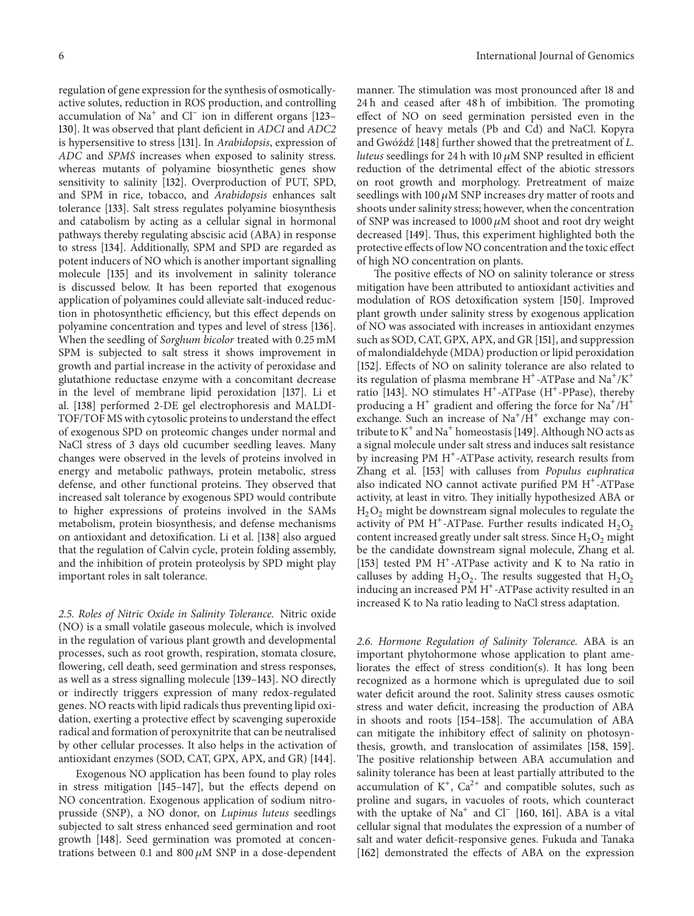regulation of gene expression for the synthesis of osmoticallyactive solutes, reduction in ROS production, and controlling accumulation of Na<sup>+</sup> and Cl<sup>−</sup> ion in different organs [\[123](#page-14-6)– [130](#page-14-8)]. It was observed that plant deficient in *ADC1* and *ADC2* is hypersensitive to stress [\[131](#page-14-9)]. In *Arabidopsis*, expression of *ADC* and *SPMS* increases when exposed to salinity stress. whereas mutants of polyamine biosynthetic genes show sensitivity to salinity [\[132\]](#page-14-10). Overproduction of PUT, SPD, and SPM in rice, tobacco, and *Arabidopsis* enhances salt tolerance [\[133](#page-14-11)]. Salt stress regulates polyamine biosynthesis and catabolism by acting as a cellular signal in hormonal pathways thereby regulating abscisic acid (ABA) in response to stress [\[134](#page-14-12)]. Additionally, SPM and SPD are regarded as potent inducers of NO which is another important signalling molecule [\[135](#page-14-13)] and its involvement in salinity tolerance is discussed below. It has been reported that exogenous application of polyamines could alleviate salt-induced reduction in photosynthetic efficiency, but this effect depends on polyamine concentration and types and level of stress [\[136\]](#page-14-14). When the seedling of *Sorghum bicolor* treated with 0.25 mM SPM is subjected to salt stress it shows improvement in growth and partial increase in the activity of peroxidase and glutathione reductase enzyme with a concomitant decrease in the level of membrane lipid peroxidation [\[137\]](#page-14-15). Li et al. [\[138\]](#page-14-16) performed 2-DE gel electrophoresis and MALDI-TOF/TOF MS with cytosolic proteins to understand the effect of exogenous SPD on proteomic changes under normal and NaCl stress of 3 days old cucumber seedling leaves. Many changes were observed in the levels of proteins involved in energy and metabolic pathways, protein metabolic, stress defense, and other functional proteins. They observed that increased salt tolerance by exogenous SPD would contribute to higher expressions of proteins involved in the SAMs metabolism, protein biosynthesis, and defense mechanisms on antioxidant and detoxification. Li et al. [\[138\]](#page-14-16) also argued that the regulation of Calvin cycle, protein folding assembly, and the inhibition of protein proteolysis by SPD might play important roles in salt tolerance.

*2.5. Roles of Nitric Oxide in Salinity Tolerance.* Nitric oxide (NO) is a small volatile gaseous molecule, which is involved in the regulation of various plant growth and developmental processes, such as root growth, respiration, stomata closure, flowering, cell death, seed germination and stress responses, as well as a stress signalling molecule [\[139](#page-14-17)[–143](#page-14-18)]. NO directly or indirectly triggers expression of many redox-regulated genes. NO reacts with lipid radicals thus preventing lipid oxidation, exerting a protective effect by scavenging superoxide radical and formation of peroxynitrite that can be neutralised by other cellular processes. It also helps in the activation of antioxidant enzymes (SOD, CAT, GPX, APX, and GR) [\[144\]](#page-14-19).

Exogenous NO application has been found to play roles in stress mitigation [\[145](#page-14-20)[–147](#page-15-0)], but the effects depend on NO concentration. Exogenous application of sodium nitroprusside (SNP), a NO donor, on *Lupinus luteus* seedlings subjected to salt stress enhanced seed germination and root growth [\[148\]](#page-15-1). Seed germination was promoted at concentrations between 0.1 and 800  $\mu$ M SNP in a dose-dependent manner. The stimulation was most pronounced after 18 and 24 h and ceased after 48 h of imbibition. The promoting effect of NO on seed germination persisted even in the presence of heavy metals (Pb and Cd) and NaCl. Kopyra and Gwóźdź [[148\]](#page-15-1) further showed that the pretreatment of *L*. *luteus* seedlings for 24 h with 10  $\mu$ M SNP resulted in efficient reduction of the detrimental effect of the abiotic stressors on root growth and morphology. Pretreatment of maize seedlings with 100  $\mu$ M SNP increases dry matter of roots and shoots under salinity stress; however, when the concentration of SNP was increased to 1000  $\mu$ M shoot and root dry weight decreased [\[149](#page-15-2)]. Thus, this experiment highlighted both the protective effects of low NO concentration and the toxic effect of high NO concentration on plants.

The positive effects of NO on salinity tolerance or stress mitigation have been attributed to antioxidant activities and modulation of ROS detoxification system [\[150](#page-15-3)]. Improved plant growth under salinity stress by exogenous application of NO was associated with increases in antioxidant enzymes such as SOD, CAT, GPX, APX, and GR [\[151](#page-15-4)], and suppression of malondialdehyde (MDA) production or lipid peroxidation [\[152](#page-15-5)]. Effects of NO on salinity tolerance are also related to its regulation of plasma membrane  $H^+$ -ATPase and Na<sup>+</sup>/K<sup>+</sup> ratio [\[143\]](#page-14-18). NO stimulates  $H^+$ -ATPase ( $H^+$ -PPase), thereby producing a H<sup>+</sup> gradient and offering the force for  $\text{Na}^+/\text{H}^+$ exchange. Such an increase of  $\text{Na}^+/H^+$  exchange may contribute to  $K^+$  and  $Na^+$  homeostasis [\[149\]](#page-15-2). Although NO acts as a signal molecule under salt stress and induces salt resistance by increasing PM H<sup>+</sup>-ATPase activity, research results from Zhang et al. [\[153\]](#page-15-6) with calluses from *Populus euphratica* also indicated NO cannot activate purified PM H<sup>+</sup>-ATPase activity, at least in vitro. They initially hypothesized ABA or  $H<sub>2</sub>O<sub>2</sub>$  might be downstream signal molecules to regulate the activity of PM H<sup>+</sup>-ATPase. Further results indicated  $H_2O_2$ content increased greatly under salt stress. Since  $H_2O_2$  might be the candidate downstream signal molecule, Zhang et al. [\[153](#page-15-6)] tested PM H<sup>+</sup>-ATPase activity and K to Na ratio in calluses by adding  $H_2O_2$ . The results suggested that  $H_2O_2$ inducing an increased PM H<sup>+</sup>-ATPase activity resulted in an increased K to Na ratio leading to NaCl stress adaptation.

*2.6. Hormone Regulation of Salinity Tolerance.* ABA is an important phytohormone whose application to plant ameliorates the effect of stress condition(s). It has long been recognized as a hormone which is upregulated due to soil water deficit around the root. Salinity stress causes osmotic stress and water deficit, increasing the production of ABA in shoots and roots [\[154](#page-15-7)[–158](#page-15-8)]. The accumulation of ABA can mitigate the inhibitory effect of salinity on photosynthesis, growth, and translocation of assimilates [\[158,](#page-15-8) [159](#page-15-9)]. The positive relationship between ABA accumulation and salinity tolerance has been at least partially attributed to the accumulation of  $K^+$ ,  $Ca^{2+}$  and compatible solutes, such as proline and sugars, in vacuoles of roots, which counteract with the uptake of Na<sup>+</sup> and Cl<sup>−</sup> [\[160,](#page-15-10) [161](#page-15-11)]. ABA is a vital cellular signal that modulates the expression of a number of salt and water deficit-responsive genes. Fukuda and Tanaka [\[162\]](#page-15-12) demonstrated the effects of ABA on the expression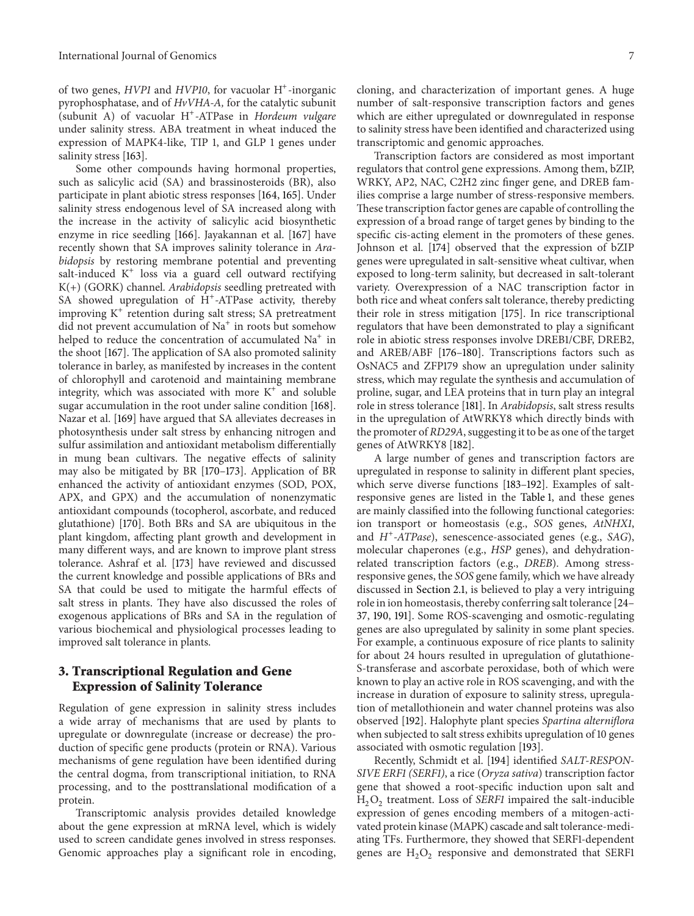of two genes, *HVP1* and *HVP10*, for vacuolar H<sup>+</sup>-inorganic pyrophosphatase, and of *HvVHA-A,* for the catalytic subunit (subunit A) of vacuolar H+-ATPase in *Hordeum vulgare* under salinity stress. ABA treatment in wheat induced the expression of MAPK4-like, TIP 1, and GLP 1 genes under salinity stress [\[163\]](#page-15-13).

Some other compounds having hormonal properties, such as salicylic acid (SA) and brassinosteroids (BR), also participate in plant abiotic stress responses [\[164,](#page-15-14) [165](#page-15-15)]. Under salinity stress endogenous level of SA increased along with the increase in the activity of salicylic acid biosynthetic enzyme in rice seedling [\[166\]](#page-15-16). Jayakannan et al. [\[167\]](#page-15-17) have recently shown that SA improves salinity tolerance in *Arabidopsis* by restoring membrane potential and preventing salt-induced  $K^+$  loss via a guard cell outward rectifying K(+) (GORK) channel. *Arabidopsis* seedling pretreated with SA showed upregulation of  $H^+$ -ATPase activity, thereby improving  $K^+$  retention during salt stress; SA pretreatment did not prevent accumulation of  $Na<sup>+</sup>$  in roots but somehow helped to reduce the concentration of accumulated  $Na<sup>+</sup>$  in the shoot [\[167](#page-15-17)]. The application of SA also promoted salinity tolerance in barley, as manifested by increases in the content of chlorophyll and carotenoid and maintaining membrane integrity, which was associated with more  $K^+$  and soluble sugar accumulation in the root under saline condition [\[168\]](#page-15-18). Nazar et al. [\[169\]](#page-15-19) have argued that SA alleviates decreases in photosynthesis under salt stress by enhancing nitrogen and sulfur assimilation and antioxidant metabolism differentially in mung bean cultivars. The negative effects of salinity may also be mitigated by BR [\[170](#page-15-20)[–173\]](#page-15-21). Application of BR enhanced the activity of antioxidant enzymes (SOD, POX, APX, and GPX) and the accumulation of nonenzymatic antioxidant compounds (tocopherol, ascorbate, and reduced glutathione) [\[170](#page-15-20)]. Both BRs and SA are ubiquitous in the plant kingdom, affecting plant growth and development in many different ways, and are known to improve plant stress tolerance. Ashraf et al. [\[173](#page-15-21)] have reviewed and discussed the current knowledge and possible applications of BRs and SA that could be used to mitigate the harmful effects of salt stress in plants. They have also discussed the roles of exogenous applications of BRs and SA in the regulation of various biochemical and physiological processes leading to improved salt tolerance in plants.

#### **3. Transcriptional Regulation and Gene Expression of Salinity Tolerance**

Regulation of gene expression in salinity stress includes a wide array of mechanisms that are used by plants to upregulate or downregulate (increase or decrease) the production of specific gene products (protein or RNA). Various mechanisms of gene regulation have been identified during the central dogma, from transcriptional initiation, to RNA processing, and to the posttranslational modification of a protein.

Transcriptomic analysis provides detailed knowledge about the gene expression at mRNA level, which is widely used to screen candidate genes involved in stress responses. Genomic approaches play a significant role in encoding,

cloning, and characterization of important genes. A huge number of salt-responsive transcription factors and genes which are either upregulated or downregulated in response to salinity stress have been identified and characterized using transcriptomic and genomic approaches.

Transcription factors are considered as most important regulators that control gene expressions. Among them, bZIP, WRKY, AP2, NAC, C2H2 zinc finger gene, and DREB families comprise a large number of stress-responsive members. These transcription factor genes are capable of controlling the expression of a broad range of target genes by binding to the specific cis-acting element in the promoters of these genes. Johnson et al. [\[174](#page-15-22)] observed that the expression of bZIP genes were upregulated in salt-sensitive wheat cultivar, when exposed to long-term salinity, but decreased in salt-tolerant variety. Overexpression of a NAC transcription factor in both rice and wheat confers salt tolerance, thereby predicting their role in stress mitigation [\[175](#page-15-23)]. In rice transcriptional regulators that have been demonstrated to play a significant role in abiotic stress responses involve DREB1/CBF, DREB2, and AREB/ABF [\[176](#page-15-24)[–180](#page-16-0)]. Transcriptions factors such as OsNAC5 and ZFP179 show an upregulation under salinity stress, which may regulate the synthesis and accumulation of proline, sugar, and LEA proteins that in turn play an integral role in stress tolerance [\[181](#page-16-1)]. In *Arabidopsis*, salt stress results in the upregulation of AtWRKY8 which directly binds with the promoter of *RD29A*, suggesting it to be as one of the target genes of AtWRKY8 [\[182\]](#page-16-2).

A large number of genes and transcription factors are upregulated in response to salinity in different plant species, which serve diverse functions [\[183](#page-16-3)[–192](#page-16-4)]. Examples of saltresponsive genes are listed in the [Table 1,](#page-7-0) and these genes are mainly classified into the following functional categories: ion transport or homeostasis (e.g., *SOS* genes, *AtNHX1*, and *H+-ATPase*), senescence-associated genes (e.g., *SAG*), molecular chaperones (e.g., *HSP* genes), and dehydrationrelated transcription factors (e.g., *DREB*). Among stressresponsive genes, the *SOS* gene family, which we have already discussed in [Section 2.1,](#page-1-1) is believed to play a very intriguing role in ion homeostasis, thereby conferring salt tolerance [\[24–](#page-11-6) [37,](#page-11-19) [190](#page-16-5), [191\]](#page-16-6). Some ROS-scavenging and osmotic-regulating genes are also upregulated by salinity in some plant species. For example, a continuous exposure of rice plants to salinity for about 24 hours resulted in upregulation of glutathione-S-transferase and ascorbate peroxidase, both of which were known to play an active role in ROS scavenging, and with the increase in duration of exposure to salinity stress, upregulation of metallothionein and water channel proteins was also observed [\[192](#page-16-4)]. Halophyte plant species *Spartina alterniflora* when subjected to salt stress exhibits upregulation of 10 genes associated with osmotic regulation [\[193](#page-16-7)].

Recently, Schmidt et al. [\[194\]](#page-16-8) identified *SALT-RESPON-SIVE ERF1 (SERF1)*, a rice (*Oryza sativa*) transcription factor gene that showed a root-specific induction upon salt and H2O<sup>2</sup> treatment. Loss of *SERF1* impaired the salt-inducible expression of genes encoding members of a mitogen-activated protein kinase (MAPK) cascade and salt tolerance-mediating TFs. Furthermore, they showed that SERF1-dependent genes are  $H_2O_2$  responsive and demonstrated that SERF1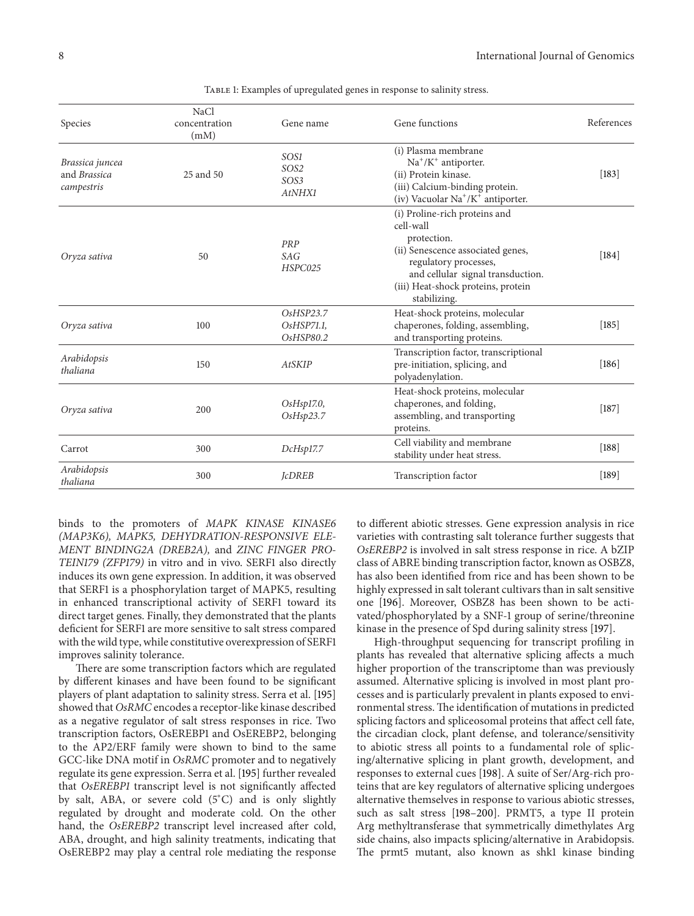| Species                                       | NaCl<br>concentration<br>(mM) | Gene name                                              | Gene functions                                                                                                                                                                                                     | References |
|-----------------------------------------------|-------------------------------|--------------------------------------------------------|--------------------------------------------------------------------------------------------------------------------------------------------------------------------------------------------------------------------|------------|
| Brassica juncea<br>and Brassica<br>campestris | 25 and 50                     | SOS1<br>SOS <sub>2</sub><br>SOS <sub>3</sub><br>AtNHX1 | (i) Plasma membrane<br>$Na^+/K^+$ antiporter.<br>(ii) Protein kinase.<br>(iii) Calcium-binding protein.<br>(iv) Vacuolar $Na^+/K^+$ antiporter.                                                                    | $[183]$    |
| Oryza sativa                                  | 50                            | PRP<br>SAG<br>HSPC025                                  | (i) Proline-rich proteins and<br>cell-wall<br>protection.<br>(ii) Senescence associated genes,<br>regulatory processes,<br>and cellular signal transduction.<br>(iii) Heat-shock proteins, protein<br>stabilizing. | $[184]$    |
| Oryza sativa                                  | 100                           | OsHSP23.7<br>OsHSP71.1,<br>OsHSP80.2                   | Heat-shock proteins, molecular<br>chaperones, folding, assembling,<br>and transporting proteins.                                                                                                                   | $[185]$    |
| Arabidopsis<br>thaliana                       | 150                           | <b>AtSKIP</b>                                          | Transcription factor, transcriptional<br>pre-initiation, splicing, and<br>polyadenylation.                                                                                                                         | $[186]$    |
| Oryza sativa                                  | 200                           | OsHsp17.0,<br>OsHsp23.7                                | Heat-shock proteins, molecular<br>chaperones, and folding,<br>assembling, and transporting<br>proteins.                                                                                                            | $[187]$    |
| Carrot                                        | 300                           | DcHsp17.7                                              | Cell viability and membrane<br>stability under heat stress.                                                                                                                                                        | $[188]$    |
| Arabidopsis<br>thaliana                       | 300                           | <b>ICDREB</b>                                          | Transcription factor                                                                                                                                                                                               | [189]      |

<span id="page-7-0"></span>Table 1: Examples of upregulated genes in response to salinity stress.

binds to the promoters of *MAPK KINASE KINASE6 (MAP3K6), MAPK5, DEHYDRATION-RESPONSIVE ELE-MENT BINDING2A (DREB2A),* and *ZINC FINGER PRO-TEIN179 (ZFP179)* in vitro and in vivo. SERF1 also directly induces its own gene expression. In addition, it was observed that SERF1 is a phosphorylation target of MAPK5, resulting in enhanced transcriptional activity of SERF1 toward its direct target genes. Finally, they demonstrated that the plants deficient for SERF1 are more sensitive to salt stress compared with the wild type, while constitutive overexpression of SERF1 improves salinity tolerance.

There are some transcription factors which are regulated by different kinases and have been found to be significant players of plant adaptation to salinity stress. Serra et al. [\[195](#page-16-15)] showed that *OsRMC* encodes a receptor-like kinase described as a negative regulator of salt stress responses in rice. Two transcription factors, OsEREBP1 and OsEREBP2, belonging to the AP2/ERF family were shown to bind to the same GCC-like DNA motif in *OsRMC* promoter and to negatively regulate its gene expression. Serra et al. [\[195\]](#page-16-15) further revealed that *OsEREBP1* transcript level is not significantly affected by salt, ABA, or severe cold (5<sup>∘</sup> C) and is only slightly regulated by drought and moderate cold. On the other hand, the *OsEREBP2* transcript level increased after cold, ABA, drought, and high salinity treatments, indicating that OsEREBP2 may play a central role mediating the response

to different abiotic stresses. Gene expression analysis in rice varieties with contrasting salt tolerance further suggests that *OsEREBP2* is involved in salt stress response in rice. A bZIP class of ABRE binding transcription factor, known as OSBZ8, has also been identified from rice and has been shown to be highly expressed in salt tolerant cultivars than in salt sensitive one [\[196](#page-16-16)]. Moreover, OSBZ8 has been shown to be activated/phosphorylated by a SNF-1 group of serine/threonine kinase in the presence of Spd during salinity stress [\[197\]](#page-16-17).

High-throughput sequencing for transcript profiling in plants has revealed that alternative splicing affects a much higher proportion of the transcriptome than was previously assumed. Alternative splicing is involved in most plant processes and is particularly prevalent in plants exposed to environmental stress. The identification of mutations in predicted splicing factors and spliceosomal proteins that affect cell fate, the circadian clock, plant defense, and tolerance/sensitivity to abiotic stress all points to a fundamental role of splicing/alternative splicing in plant growth, development, and responses to external cues [\[198](#page-16-18)]. A suite of Ser/Arg-rich proteins that are key regulators of alternative splicing undergoes alternative themselves in response to various abiotic stresses, such as salt stress [\[198](#page-16-18)[–200\]](#page-16-19). PRMT5, a type II protein Arg methyltransferase that symmetrically dimethylates Arg side chains, also impacts splicing/alternative in Arabidopsis. The prmt5 mutant, also known as shk1 kinase binding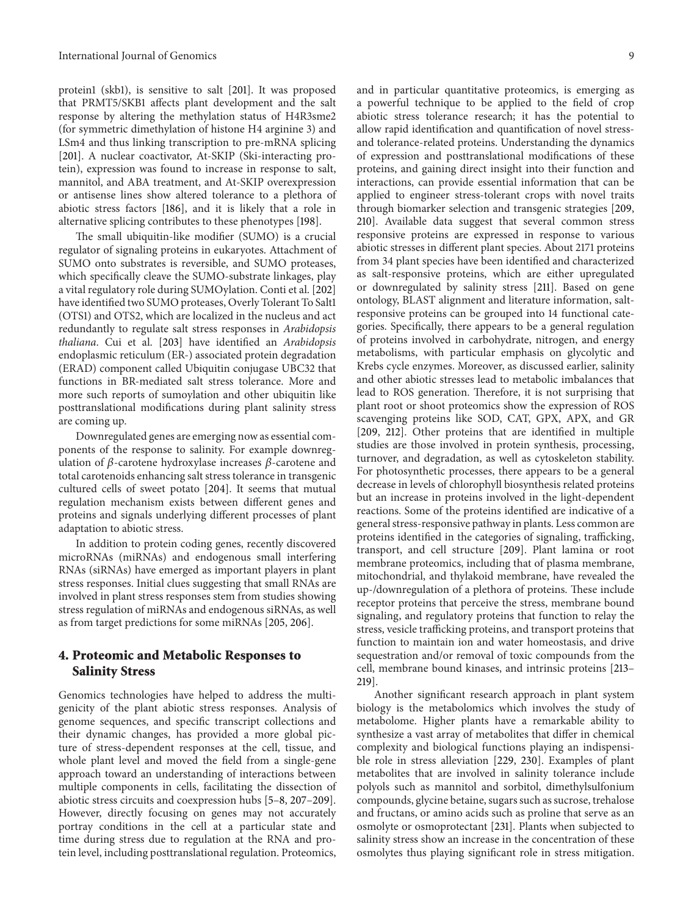protein1 (skb1), is sensitive to salt [\[201\]](#page-16-20). It was proposed that PRMT5/SKB1 affects plant development and the salt response by altering the methylation status of H4R3sme2 (for symmetric dimethylation of histone H4 arginine 3) and LSm4 and thus linking transcription to pre-mRNA splicing [\[201\]](#page-16-20). A nuclear coactivator, At-SKIP (Ski-interacting protein), expression was found to increase in response to salt, mannitol, and ABA treatment, and At-SKIP overexpression or antisense lines show altered tolerance to a plethora of abiotic stress factors [\[186](#page-16-11)], and it is likely that a role in alternative splicing contributes to these phenotypes [\[198\]](#page-16-18).

The small ubiquitin-like modifier (SUMO) is a crucial regulator of signaling proteins in eukaryotes. Attachment of SUMO onto substrates is reversible, and SUMO proteases, which specifically cleave the SUMO-substrate linkages, play a vital regulatory role during SUMOylation. Conti et al. [\[202](#page-16-21)] have identified two SUMO proteases, Overly Tolerant To Salt1 (OTS1) and OTS2, which are localized in the nucleus and act redundantly to regulate salt stress responses in *Arabidopsis thaliana*. Cui et al. [\[203\]](#page-16-22) have identified an *Arabidopsis* endoplasmic reticulum (ER-) associated protein degradation (ERAD) component called Ubiquitin conjugase UBC32 that functions in BR-mediated salt stress tolerance. More and more such reports of sumoylation and other ubiquitin like posttranslational modifications during plant salinity stress are coming up.

Downregulated genes are emerging now as essential components of the response to salinity. For example downregulation of  $\beta$ -carotene hydroxylase increases  $\beta$ -carotene and total carotenoids enhancing salt stress tolerance in transgenic cultured cells of sweet potato [\[204\]](#page-16-23). It seems that mutual regulation mechanism exists between different genes and proteins and signals underlying different processes of plant adaptation to abiotic stress.

In addition to protein coding genes, recently discovered microRNAs (miRNAs) and endogenous small interfering RNAs (siRNAs) have emerged as important players in plant stress responses. Initial clues suggesting that small RNAs are involved in plant stress responses stem from studies showing stress regulation of miRNAs and endogenous siRNAs, as well as from target predictions for some miRNAs [\[205](#page-16-24), [206\]](#page-16-25).

# **4. Proteomic and Metabolic Responses to Salinity Stress**

Genomics technologies have helped to address the multigenicity of the plant abiotic stress responses. Analysis of genome sequences, and specific transcript collections and their dynamic changes, has provided a more global picture of stress-dependent responses at the cell, tissue, and whole plant level and moved the field from a single-gene approach toward an understanding of interactions between multiple components in cells, facilitating the dissection of abiotic stress circuits and coexpression hubs [\[5](#page-10-5)[–8](#page-10-7), [207](#page-17-0)[–209\]](#page-17-1). However, directly focusing on genes may not accurately portray conditions in the cell at a particular state and time during stress due to regulation at the RNA and protein level, including posttranslational regulation. Proteomics,

and in particular quantitative proteomics, is emerging as a powerful technique to be applied to the field of crop abiotic stress tolerance research; it has the potential to allow rapid identification and quantification of novel stressand tolerance-related proteins. Understanding the dynamics of expression and posttranslational modifications of these proteins, and gaining direct insight into their function and interactions, can provide essential information that can be applied to engineer stress-tolerant crops with novel traits through biomarker selection and transgenic strategies [\[209](#page-17-1), [210](#page-17-2)]. Available data suggest that several common stress responsive proteins are expressed in response to various abiotic stresses in different plant species. About 2171 proteins from 34 plant species have been identified and characterized as salt-responsive proteins, which are either upregulated or downregulated by salinity stress [\[211](#page-17-3)]. Based on gene ontology, BLAST alignment and literature information, saltresponsive proteins can be grouped into 14 functional categories. Specifically, there appears to be a general regulation of proteins involved in carbohydrate, nitrogen, and energy metabolisms, with particular emphasis on glycolytic and Krebs cycle enzymes. Moreover, as discussed earlier, salinity and other abiotic stresses lead to metabolic imbalances that lead to ROS generation. Therefore, it is not surprising that plant root or shoot proteomics show the expression of ROS scavenging proteins like SOD, CAT, GPX, APX, and GR [\[209,](#page-17-1) [212](#page-17-4)]. Other proteins that are identified in multiple studies are those involved in protein synthesis, processing, turnover, and degradation, as well as cytoskeleton stability. For photosynthetic processes, there appears to be a general decrease in levels of chlorophyll biosynthesis related proteins but an increase in proteins involved in the light-dependent reactions. Some of the proteins identified are indicative of a general stress-responsive pathway in plants. Less common are proteins identified in the categories of signaling, trafficking, transport, and cell structure [\[209\]](#page-17-1). Plant lamina or root membrane proteomics, including that of plasma membrane, mitochondrial, and thylakoid membrane, have revealed the up-/downregulation of a plethora of proteins. These include receptor proteins that perceive the stress, membrane bound signaling, and regulatory proteins that function to relay the stress, vesicle trafficking proteins, and transport proteins that function to maintain ion and water homeostasis, and drive sequestration and/or removal of toxic compounds from the cell, membrane bound kinases, and intrinsic proteins [\[213–](#page-17-5) [219](#page-17-6)].

Another significant research approach in plant system biology is the metabolomics which involves the study of metabolome. Higher plants have a remarkable ability to synthesize a vast array of metabolites that differ in chemical complexity and biological functions playing an indispensible role in stress alleviation [\[229](#page-17-7), [230\]](#page-17-8). Examples of plant metabolites that are involved in salinity tolerance include polyols such as mannitol and sorbitol, dimethylsulfonium compounds, glycine betaine, sugars such as sucrose, trehalose and fructans, or amino acids such as proline that serve as an osmolyte or osmoprotectant [\[231](#page-17-9)]. Plants when subjected to salinity stress show an increase in the concentration of these osmolytes thus playing significant role in stress mitigation.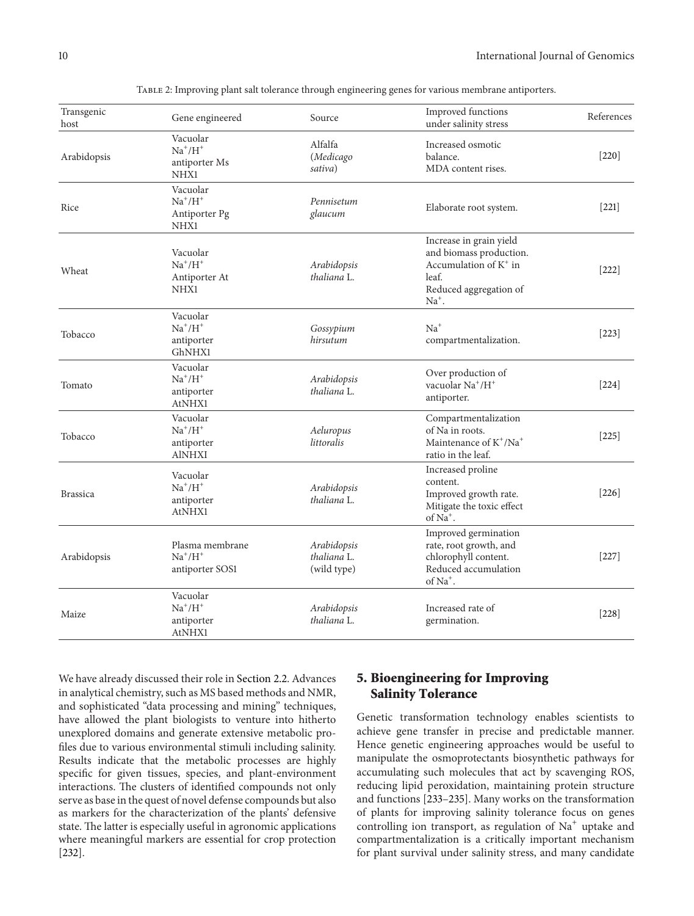| Transgenic<br>host | Gene engineered                                       | Source                                    | Improved functions<br>under salinity stress                                                                                     | References |
|--------------------|-------------------------------------------------------|-------------------------------------------|---------------------------------------------------------------------------------------------------------------------------------|------------|
| Arabidopsis        | Vacuolar<br>$Na^+/H^+$<br>antiporter Ms<br>NHX1       | Alfalfa<br>(Medicago<br>sativa)           | Increased osmotic<br>balance.<br>MDA content rises.                                                                             | [220]      |
| Rice               | Vacuolar<br>$Na^+/H^+$<br>Antiporter Pg<br>NHX1       | Pennisetum<br>glaucum                     | Elaborate root system.                                                                                                          | $[221]$    |
| Wheat              | Vacuolar<br>$Na^+/H^+$<br>Antiporter At<br>NHX1       | Arabidopsis<br>thaliana L.                | Increase in grain yield<br>and biomass production.<br>Accumulation of $K^+$ in<br>leaf.<br>Reduced aggregation of<br>$Na^{+}$ . | $[222]$    |
| Tobacco            | Vacuolar<br>$Na^+/H^+$<br>antiporter<br>GhNHX1        | Gossypium<br>hirsutum                     | $Na+$<br>compartmentalization.                                                                                                  | $[223]$    |
| Tomato             | Vacuolar<br>$Na^+/H^+$<br>antiporter<br>AtNHX1        | Arabidopsis<br>thaliana L.                | Over production of<br>vacuolar Na <sup>+</sup> /H <sup>+</sup><br>antiporter.                                                   | $[224]$    |
| Tobacco            | Vacuolar<br>$Na^+/H^+$<br>antiporter<br><b>AlNHXI</b> | Aeluropus<br>littoralis                   | Compartmentalization<br>of Na in roots.<br>Maintenance of K <sup>+</sup> /Na <sup>+</sup><br>ratio in the leaf.                 | $[225]$    |
| <b>Brassica</b>    | Vacuolar<br>$Na^+/H^+$<br>antiporter<br>AtNHX1        | Arabidopsis<br>thaliana L.                | Increased proline<br>content.<br>Improved growth rate.<br>Mitigate the toxic effect<br>of Na <sup>+</sup> .                     | $[226]$    |
| Arabidopsis        | Plasma membrane<br>$Na^+/H^+$<br>antiporter SOS1      | Arabidopsis<br>thaliana L.<br>(wild type) | Improved germination<br>rate, root growth, and<br>chlorophyll content.<br>Reduced accumulation<br>of Na <sup>+</sup> .          | $[227]$    |
| Maize              | Vacuolar<br>$Na^+/H^+$<br>antiporter<br>AtNHX1        | Arabidopsis<br>thaliana L.                | Increased rate of<br>germination.                                                                                               | $[228]$    |

<span id="page-9-0"></span>Table 2: Improving plant salt tolerance through engineering genes for various membrane antiporters.

We have already discussed their role in [Section 2.2.](#page-2-0) Advances in analytical chemistry, such as MS based methods and NMR, and sophisticated "data processing and mining" techniques, have allowed the plant biologists to venture into hitherto unexplored domains and generate extensive metabolic profiles due to various environmental stimuli including salinity. Results indicate that the metabolic processes are highly specific for given tissues, species, and plant-environment interactions. The clusters of identified compounds not only serve as base in the quest of novel defense compounds but also as markers for the characterization of the plants' defensive state. The latter is especially useful in agronomic applications where meaningful markers are essential for crop protection [\[232\]](#page-17-19).

# **5. Bioengineering for Improving Salinity Tolerance**

Genetic transformation technology enables scientists to achieve gene transfer in precise and predictable manner. Hence genetic engineering approaches would be useful to manipulate the osmoprotectants biosynthetic pathways for accumulating such molecules that act by scavenging ROS, reducing lipid peroxidation, maintaining protein structure and functions [\[233](#page-17-20)[–235\]](#page-17-21). Many works on the transformation of plants for improving salinity tolerance focus on genes controlling ion transport, as regulation of  $Na<sup>+</sup>$  uptake and compartmentalization is a critically important mechanism for plant survival under salinity stress, and many candidate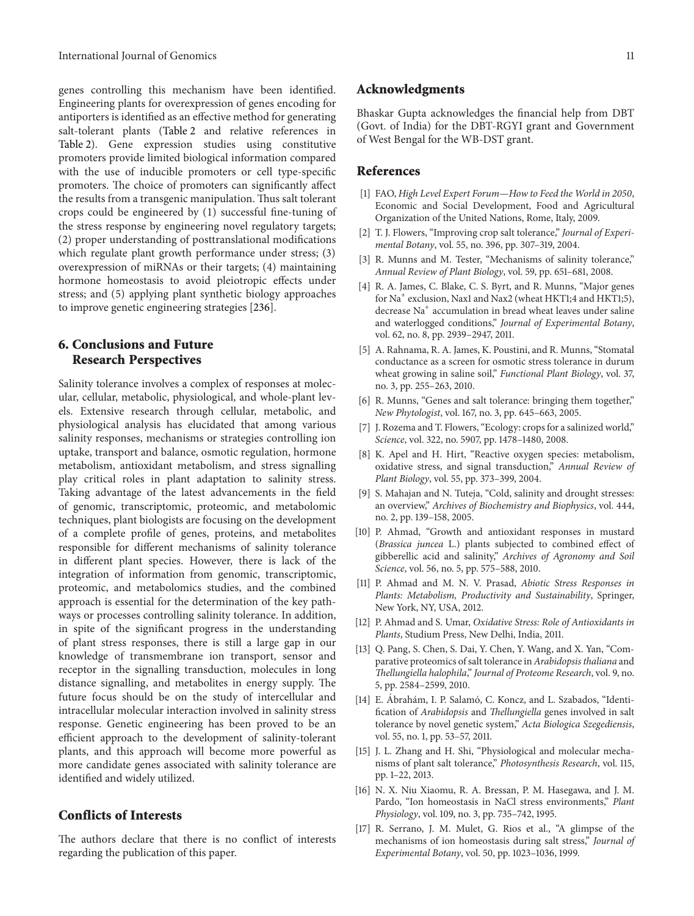genes controlling this mechanism have been identified. Engineering plants for overexpression of genes encoding for antiporters is identified as an effective method for generating salt-tolerant plants [\(Table 2](#page-9-0) and relative references in [Table 2\)](#page-9-0). Gene expression studies using constitutive promoters provide limited biological information compared with the use of inducible promoters or cell type-specific promoters. The choice of promoters can significantly affect the results from a transgenic manipulation. Thus salt tolerant crops could be engineered by (1) successful fine-tuning of the stress response by engineering novel regulatory targets; (2) proper understanding of posttranslational modifications which regulate plant growth performance under stress; (3) overexpression of miRNAs or their targets; (4) maintaining hormone homeostasis to avoid pleiotropic effects under stress; and (5) applying plant synthetic biology approaches to improve genetic engineering strategies [\[236](#page-17-22)].

### **6. Conclusions and Future Research Perspectives**

Salinity tolerance involves a complex of responses at molecular, cellular, metabolic, physiological, and whole-plant levels. Extensive research through cellular, metabolic, and physiological analysis has elucidated that among various salinity responses, mechanisms or strategies controlling ion uptake, transport and balance, osmotic regulation, hormone metabolism, antioxidant metabolism, and stress signalling play critical roles in plant adaptation to salinity stress. Taking advantage of the latest advancements in the field of genomic, transcriptomic, proteomic, and metabolomic techniques, plant biologists are focusing on the development of a complete profile of genes, proteins, and metabolites responsible for different mechanisms of salinity tolerance in different plant species. However, there is lack of the integration of information from genomic, transcriptomic, proteomic, and metabolomics studies, and the combined approach is essential for the determination of the key pathways or processes controlling salinity tolerance. In addition, in spite of the significant progress in the understanding of plant stress responses, there is still a large gap in our knowledge of transmembrane ion transport, sensor and receptor in the signalling transduction, molecules in long distance signalling, and metabolites in energy supply. The future focus should be on the study of intercellular and intracellular molecular interaction involved in salinity stress response. Genetic engineering has been proved to be an efficient approach to the development of salinity-tolerant plants, and this approach will become more powerful as more candidate genes associated with salinity tolerance are identified and widely utilized.

#### **Conflicts of Interests**

The authors declare that there is no conflict of interests regarding the publication of this paper.

#### **Acknowledgments**

Bhaskar Gupta acknowledges the financial help from DBT (Govt. of India) for the DBT-RGYI grant and Government of West Bengal for the WB-DST grant.

#### **References**

- <span id="page-10-0"></span>[1] FAO, *High Level Expert Forum—How to Feed the World in 2050*, Economic and Social Development, Food and Agricultural Organization of the United Nations, Rome, Italy, 2009.
- <span id="page-10-1"></span>[2] T. J. Flowers, "Improving crop salt tolerance," *Journal of Experimental Botany*, vol. 55, no. 396, pp. 307–319, 2004.
- <span id="page-10-2"></span>[3] R. Munns and M. Tester, "Mechanisms of salinity tolerance," *Annual Review of Plant Biology*, vol. 59, pp. 651–681, 2008.
- <span id="page-10-3"></span>[4] R. A. James, C. Blake, C. S. Byrt, and R. Munns, "Major genes for Na<sup>+</sup> exclusion, Nax1 and Nax2 (wheat HKT1;4 and HKT1;5), decrease Na<sup>+</sup> accumulation in bread wheat leaves under saline and waterlogged conditions," *Journal of Experimental Botany*, vol. 62, no. 8, pp. 2939–2947, 2011.
- <span id="page-10-5"></span>[5] A. Rahnama, R. A. James, K. Poustini, and R. Munns, "Stomatal conductance as a screen for osmotic stress tolerance in durum wheat growing in saline soil," *Functional Plant Biology*, vol. 37, no. 3, pp. 255–263, 2010.
- <span id="page-10-6"></span>[6] R. Munns, "Genes and salt tolerance: bringing them together," *New Phytologist*, vol. 167, no. 3, pp. 645–663, 2005.
- <span id="page-10-4"></span>[7] J. Rozema and T. Flowers, "Ecology: crops for a salinized world," *Science*, vol. 322, no. 5907, pp. 1478–1480, 2008.
- <span id="page-10-7"></span>[8] K. Apel and H. Hirt, "Reactive oxygen species: metabolism, oxidative stress, and signal transduction," *Annual Review of Plant Biology*, vol. 55, pp. 373–399, 2004.
- [9] S. Mahajan and N. Tuteja, "Cold, salinity and drought stresses: an overview," *Archives of Biochemistry and Biophysics*, vol. 444, no. 2, pp. 139–158, 2005.
- [10] P. Ahmad, "Growth and antioxidant responses in mustard (*Brassica juncea* L.) plants subjected to combined effect of gibberellic acid and salinity," *Archives of Agronomy and Soil Science*, vol. 56, no. 5, pp. 575–588, 2010.
- [11] P. Ahmad and M. N. V. Prasad, *Abiotic Stress Responses in Plants: Metabolism, Productivity and Sustainability*, Springer, New York, NY, USA, 2012.
- <span id="page-10-8"></span>[12] P. Ahmad and S. Umar, *Oxidative Stress: Role of Antioxidants in Plants*, Studium Press, New Delhi, India, 2011.
- <span id="page-10-9"></span>[13] Q. Pang, S. Chen, S. Dai, Y. Chen, Y. Wang, and X. Yan, "Comparative proteomics of salt tolerance in*Arabidopsis thaliana* and *Thellungiella halophila*," *Journal of Proteome Research*, vol. 9, no. 5, pp. 2584–2599, 2010.
- <span id="page-10-10"></span>[14] E. Ábrahám, I. P. Salamó, C. Koncz, and L. Szabados, "Identification of *Arabidopsis* and *Thellungiella* genes involved in salt tolerance by novel genetic system," *Acta Biologica Szegediensis*, vol. 55, no. 1, pp. 53–57, 2011.
- <span id="page-10-11"></span>[15] J. L. Zhang and H. Shi, "Physiological and molecular mechanisms of plant salt tolerance," *Photosynthesis Research*, vol. 115, pp. 1–22, 2013.
- <span id="page-10-12"></span>[16] N. X. Niu Xiaomu, R. A. Bressan, P. M. Hasegawa, and J. M. Pardo, "Ion homeostasis in NaCl stress environments," *Plant Physiology*, vol. 109, no. 3, pp. 735–742, 1995.
- [17] R. Serrano, J. M. Mulet, G. Rios et al., "A glimpse of the mechanisms of ion homeostasis during salt stress," *Journal of Experimental Botany*, vol. 50, pp. 1023–1036, 1999.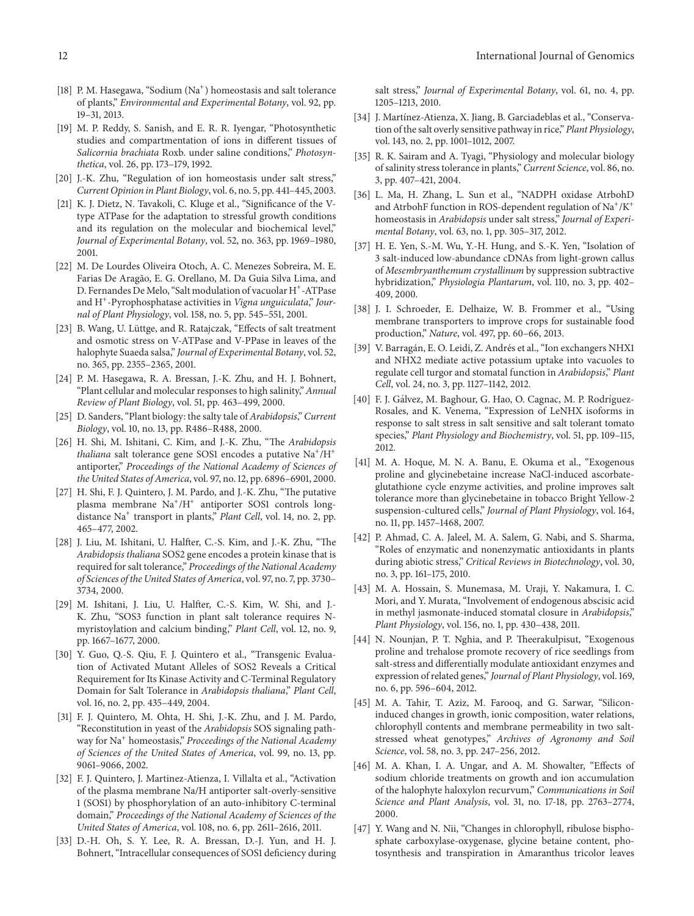- <span id="page-11-0"></span>[18] P. M. Hasegawa, "Sodium (Na<sup>+</sup>) homeostasis and salt tolerance of plants," *Environmental and Experimental Botany*, vol. 92, pp. 19–31, 2013.
- <span id="page-11-1"></span>[19] M. P. Reddy, S. Sanish, and E. R. R. Iyengar, "Photosynthetic studies and compartmentation of ions in different tissues of *Salicornia brachiata* Roxb. under saline conditions," *Photosynthetica*, vol. 26, pp. 173–179, 1992.
- <span id="page-11-2"></span>[20] J.-K. Zhu, "Regulation of ion homeostasis under salt stress," *Current Opinion in Plant Biology*, vol. 6, no. 5, pp. 441–445, 2003.
- <span id="page-11-3"></span>[21] K. J. Dietz, N. Tavakoli, C. Kluge et al., "Significance of the Vtype ATPase for the adaptation to stressful growth conditions and its regulation on the molecular and biochemical level," *Journal of Experimental Botany*, vol. 52, no. 363, pp. 1969–1980, 2001.
- <span id="page-11-5"></span>[22] M. De Lourdes Oliveira Otoch, A. C. Menezes Sobreira, M. E. Farias De Aragão, E. G. Orellano, M. Da Guia Silva Lima, and D. Fernandes De Melo, "Salt modulation of vacuolar H<sup>+</sup>-ATPase and H<sup>+</sup>-Pyrophosphatase activities in *Vigna unguiculata*," *Journal of Plant Physiology*, vol. 158, no. 5, pp. 545–551, 2001.
- <span id="page-11-4"></span>[23] B. Wang, U. Lüttge, and R. Ratajczak, "Effects of salt treatment and osmotic stress on V-ATPase and V-PPase in leaves of the halophyte Suaeda salsa," *Journal of Experimental Botany*, vol. 52, no. 365, pp. 2355–2365, 2001.
- <span id="page-11-6"></span>[24] P. M. Hasegawa, R. A. Bressan, J.-K. Zhu, and H. J. Bohnert, "Plant cellular and molecular responses to high salinity,"*Annual Review of Plant Biology*, vol. 51, pp. 463–499, 2000.
- <span id="page-11-7"></span>[25] D. Sanders, "Plant biology: the salty tale of *Arabidopsis*," *Current Biology*, vol. 10, no. 13, pp. R486–R488, 2000.
- <span id="page-11-8"></span>[26] H. Shi, M. Ishitani, C. Kim, and J.-K. Zhu, "The *Arabidopsis thaliana* salt tolerance gene SOS1 encodes a putative Na<sup>+</sup>/H<sup>+</sup> antiporter," *Proceedings of the National Academy of Sciences of the United States of America*, vol. 97, no. 12, pp. 6896–6901, 2000.
- <span id="page-11-9"></span>[27] H. Shi, F. J. Quintero, J. M. Pardo, and J.-K. Zhu, "The putative plasma membrane Na<sup>+</sup>/H<sup>+</sup> antiporter SOS1 controls longdistance Na<sup>+</sup> transport in plants," *Plant Cell*, vol. 14, no. 2, pp. 465–477, 2002.
- <span id="page-11-10"></span>[28] J. Liu, M. Ishitani, U. Halfter, C.-S. Kim, and J.-K. Zhu, "The *Arabidopsis thaliana* SOS2 gene encodes a protein kinase that is required for salt tolerance," *Proceedings of the National Academy of Sciences of the United States of America*, vol. 97, no. 7, pp. 3730– 3734, 2000.
- <span id="page-11-11"></span>[29] M. Ishitani, J. Liu, U. Halfter, C.-S. Kim, W. Shi, and J.- K. Zhu, "SOS3 function in plant salt tolerance requires Nmyristoylation and calcium binding," *Plant Cell*, vol. 12, no. 9, pp. 1667–1677, 2000.
- <span id="page-11-12"></span>[30] Y. Guo, Q.-S. Qiu, F. J. Quintero et al., "Transgenic Evaluation of Activated Mutant Alleles of SOS2 Reveals a Critical Requirement for Its Kinase Activity and C-Terminal Regulatory Domain for Salt Tolerance in *Arabidopsis thaliana*," *Plant Cell*, vol. 16, no. 2, pp. 435–449, 2004.
- <span id="page-11-13"></span>[31] F. J. Quintero, M. Ohta, H. Shi, J.-K. Zhu, and J. M. Pardo, "Reconstitution in yeast of the *Arabidopsis* SOS signaling pathway for Na<sup>+</sup> homeostasis," *Proceedings of the National Academy of Sciences of the United States of America*, vol. 99, no. 13, pp. 9061–9066, 2002.
- <span id="page-11-14"></span>[32] F. J. Quintero, J. Martinez-Atienza, I. Villalta et al., "Activation of the plasma membrane Na/H antiporter salt-overly-sensitive 1 (SOS1) by phosphorylation of an auto-inhibitory C-terminal domain," *Proceedings of the National Academy of Sciences of the United States of America*, vol. 108, no. 6, pp. 2611–2616, 2011.
- <span id="page-11-15"></span>[33] D.-H. Oh, S. Y. Lee, R. A. Bressan, D.-J. Yun, and H. J. Bohnert, "Intracellular consequences of SOS1 deficiency during

salt stress," *Journal of Experimental Botany*, vol. 61, no. 4, pp. 1205–1213, 2010.

- <span id="page-11-16"></span>[34] J. Martínez-Atienza, X. Jiang, B. Garciadeblas et al., "Conservation of the salt overly sensitive pathway in rice," *Plant Physiology*, vol. 143, no. 2, pp. 1001–1012, 2007.
- <span id="page-11-17"></span>[35] R. K. Sairam and A. Tyagi, "Physiology and molecular biology of salinity stress tolerance in plants," *Current Science*, vol. 86, no. 3, pp. 407–421, 2004.
- <span id="page-11-18"></span>[36] L. Ma, H. Zhang, L. Sun et al., "NADPH oxidase AtrbohD and AtrbohF function in ROS-dependent regulation of  $\mathrm{Na^+}/\mathrm{K^+}$ homeostasis in *Arabidopsis* under salt stress," *Journal of Experimental Botany*, vol. 63, no. 1, pp. 305–317, 2012.
- <span id="page-11-19"></span>[37] H. E. Yen, S.-M. Wu, Y.-H. Hung, and S.-K. Yen, "Isolation of 3 salt-induced low-abundance cDNAs from light-grown callus of *Mesembryanthemum crystallinum* by suppression subtractive hybridization," *Physiologia Plantarum*, vol. 110, no. 3, pp. 402– 409, 2000.
- <span id="page-11-20"></span>[38] J. I. Schroeder, E. Delhaize, W. B. Frommer et al., "Using membrane transporters to improve crops for sustainable food production," *Nature*, vol. 497, pp. 60–66, 2013.
- <span id="page-11-21"></span>[39] V. Barragán, E. O. Leidi, Z. Andrés et al., "Ion exchangers NHX1 and NHX2 mediate active potassium uptake into vacuoles to regulate cell turgor and stomatal function in *Arabidopsis*," *Plant Cell*, vol. 24, no. 3, pp. 1127–1142, 2012.
- <span id="page-11-22"></span>[40] F. J. Gálvez, M. Baghour, G. Hao, O. Cagnac, M. P. Rodríguez-Rosales, and K. Venema, "Expression of LeNHX isoforms in response to salt stress in salt sensitive and salt tolerant tomato species," *Plant Physiology and Biochemistry*, vol. 51, pp. 109–115, 2012.
- <span id="page-11-23"></span>[41] M. A. Hoque, M. N. A. Banu, E. Okuma et al., "Exogenous proline and glycinebetaine increase NaCl-induced ascorbateglutathione cycle enzyme activities, and proline improves salt tolerance more than glycinebetaine in tobacco Bright Yellow-2 suspension-cultured cells," *Journal of Plant Physiology*, vol. 164, no. 11, pp. 1457–1468, 2007.
- [42] P. Ahmad, C. A. Jaleel, M. A. Salem, G. Nabi, and S. Sharma, "Roles of enzymatic and nonenzymatic antioxidants in plants during abiotic stress," *Critical Reviews in Biotechnology*, vol. 30, no. 3, pp. 161–175, 2010.
- [43] M. A. Hossain, S. Munemasa, M. Uraji, Y. Nakamura, I. C. Mori, and Y. Murata, "Involvement of endogenous abscisic acid in methyl jasmonate-induced stomatal closure in *Arabidopsis*," *Plant Physiology*, vol. 156, no. 1, pp. 430–438, 2011.
- [44] N. Nounjan, P. T. Nghia, and P. Theerakulpisut, "Exogenous proline and trehalose promote recovery of rice seedlings from salt-stress and differentially modulate antioxidant enzymes and expression of related genes," *Journal of Plant Physiology*, vol. 169, no. 6, pp. 596–604, 2012.
- <span id="page-11-24"></span>[45] M. A. Tahir, T. Aziz, M. Farooq, and G. Sarwar, "Siliconinduced changes in growth, ionic composition, water relations, chlorophyll contents and membrane permeability in two saltstressed wheat genotypes," *Archives of Agronomy and Soil Science*, vol. 58, no. 3, pp. 247–256, 2012.
- <span id="page-11-25"></span>[46] M. A. Khan, I. A. Ungar, and A. M. Showalter, "Effects of sodium chloride treatments on growth and ion accumulation of the halophyte haloxylon recurvum," *Communications in Soil Science and Plant Analysis*, vol. 31, no. 17-18, pp. 2763–2774, 2000.
- <span id="page-11-26"></span>[47] Y. Wang and N. Nii, "Changes in chlorophyll, ribulose bisphosphate carboxylase-oxygenase, glycine betaine content, photosynthesis and transpiration in Amaranthus tricolor leaves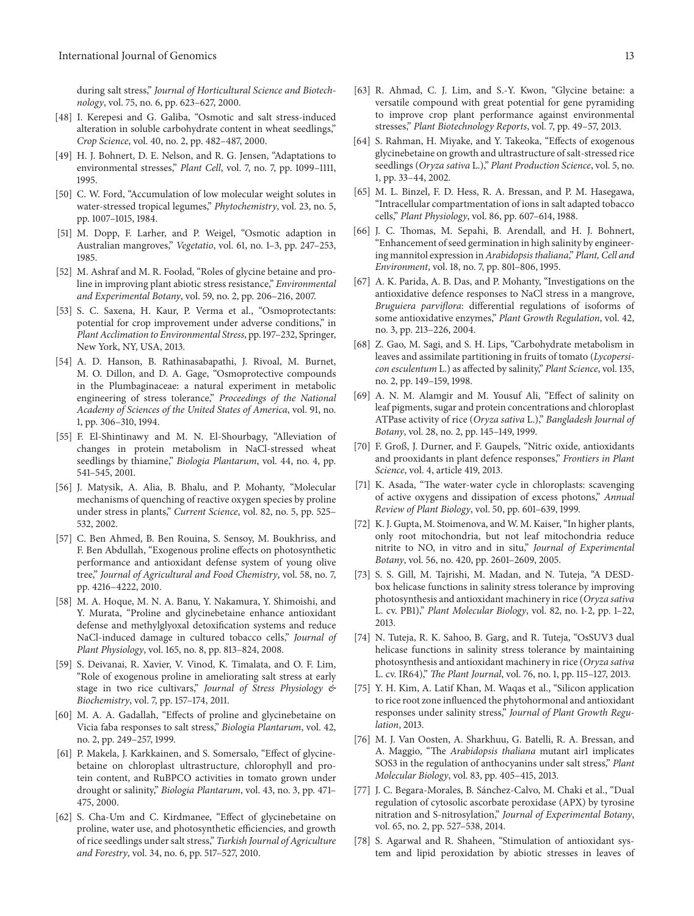during salt stress," *Journal of Horticultural Science and Biotechnology*, vol. 75, no. 6, pp. 623–627, 2000.

- <span id="page-12-0"></span>[48] I. Kerepesi and G. Galiba, "Osmotic and salt stress-induced alteration in soluble carbohydrate content in wheat seedlings," *Crop Science*, vol. 40, no. 2, pp. 482–487, 2000.
- <span id="page-12-1"></span>[49] H. J. Bohnert, D. E. Nelson, and R. G. Jensen, "Adaptations to environmental stresses," *Plant Cell*, vol. 7, no. 7, pp. 1099–1111, 1995.
- <span id="page-12-2"></span>[50] C. W. Ford, "Accumulation of low molecular weight solutes in water-stressed tropical legumes," *Phytochemistry*, vol. 23, no. 5, pp. 1007–1015, 1984.
- [51] M. Dopp, F. Larher, and P. Weigel, "Osmotic adaption in Australian mangroves," *Vegetatio*, vol. 61, no. 1–3, pp. 247–253, 1985.
- <span id="page-12-13"></span>[52] M. Ashraf and M. R. Foolad, "Roles of glycine betaine and proline in improving plant abiotic stress resistance," *Environmental and Experimental Botany*, vol. 59, no. 2, pp. 206–216, 2007.
- <span id="page-12-3"></span>[53] S. C. Saxena, H. Kaur, P. Verma et al., "Osmoprotectants: potential for crop improvement under adverse conditions," in *Plant Acclimation to Environmental Stress*, pp. 197–232, Springer, New York, NY, USA, 2013.
- <span id="page-12-4"></span>[54] A. D. Hanson, B. Rathinasabapathi, J. Rivoal, M. Burnet, M. O. Dillon, and D. A. Gage, "Osmoprotective compounds in the Plumbaginaceae: a natural experiment in metabolic engineering of stress tolerance," *Proceedings of the National Academy of Sciences of the United States of America*, vol. 91, no. 1, pp. 306–310, 1994.
- <span id="page-12-5"></span>[55] F. El-Shintinawy and M. N. El-Shourbagy, "Alleviation of changes in protein metabolism in NaCl-stressed wheat seedlings by thiamine," *Biologia Plantarum*, vol. 44, no. 4, pp. 541–545, 2001.
- <span id="page-12-6"></span>[56] J. Matysik, A. Alia, B. Bhalu, and P. Mohanty, "Molecular mechanisms of quenching of reactive oxygen species by proline under stress in plants," *Current Science*, vol. 82, no. 5, pp. 525– 532, 2002.
- <span id="page-12-7"></span>[57] C. Ben Ahmed, B. Ben Rouina, S. Sensoy, M. Boukhriss, and F. Ben Abdullah, "Exogenous proline effects on photosynthetic performance and antioxidant defense system of young olive tree," *Journal of Agricultural and Food Chemistry*, vol. 58, no. 7, pp. 4216–4222, 2010.
- <span id="page-12-8"></span>[58] M. A. Hoque, M. N. A. Banu, Y. Nakamura, Y. Shimoishi, and Y. Murata, "Proline and glycinebetaine enhance antioxidant defense and methylglyoxal detoxification systems and reduce NaCl-induced damage in cultured tobacco cells," *Journal of Plant Physiology*, vol. 165, no. 8, pp. 813–824, 2008.
- <span id="page-12-9"></span>[59] S. Deivanai, R. Xavier, V. Vinod, K. Timalata, and O. F. Lim, "Role of exogenous proline in ameliorating salt stress at early stage in two rice cultivars," *Journal of Stress Physiology & Biochemistry*, vol. 7, pp. 157–174, 2011.
- <span id="page-12-10"></span>[60] M. A. A. Gadallah, "Effects of proline and glycinebetaine on Vicia faba responses to salt stress," *Biologia Plantarum*, vol. 42, no. 2, pp. 249–257, 1999.
- <span id="page-12-11"></span>[61] P. Makela, J. Karkkainen, and S. Somersalo, "Effect of glycinebetaine on chloroplast ultrastructure, chlorophyll and protein content, and RuBPCO activities in tomato grown under drought or salinity," *Biologia Plantarum*, vol. 43, no. 3, pp. 471– 475, 2000.
- <span id="page-12-12"></span>[62] S. Cha-Um and C. Kirdmanee, "Effect of glycinebetaine on proline, water use, and photosynthetic efficiencies, and growth of rice seedlings under salt stress," *Turkish Journal of Agriculture and Forestry*, vol. 34, no. 6, pp. 517–527, 2010.
- <span id="page-12-14"></span>[63] R. Ahmad, C. J. Lim, and S.-Y. Kwon, "Glycine betaine: a versatile compound with great potential for gene pyramiding to improve crop plant performance against environmental stresses," *Plant Biotechnology Reports*, vol. 7, pp. 49–57, 2013.
- <span id="page-12-15"></span>[64] S. Rahman, H. Miyake, and Y. Takeoka, "Effects of exogenous glycinebetaine on growth and ultrastructure of salt-stressed rice seedlings (*Oryza sativa* L.)," *Plant Production Science*, vol. 5, no. 1, pp. 33–44, 2002.
- <span id="page-12-16"></span>[65] M. L. Binzel, F. D. Hess, R. A. Bressan, and P. M. Hasegawa, "Intracellular compartmentation of ions in salt adapted tobacco cells," *Plant Physiology*, vol. 86, pp. 607–614, 1988.
- <span id="page-12-17"></span>[66] J. C. Thomas, M. Sepahi, B. Arendall, and H. J. Bohnert, "Enhancement of seed germination in high salinity by engineering mannitol expression in*Arabidopsis thaliana*," *Plant, Cell and Environment*, vol. 18, no. 7, pp. 801–806, 1995.
- <span id="page-12-18"></span>[67] A. K. Parida, A. B. Das, and P. Mohanty, "Investigations on the antioxidative defence responses to NaCl stress in a mangrove, *Bruguiera parviflora*: differential regulations of isoforms of some antioxidative enzymes," *Plant Growth Regulation*, vol. 42, no. 3, pp. 213–226, 2004.
- <span id="page-12-19"></span>[68] Z. Gao, M. Sagi, and S. H. Lips, "Carbohydrate metabolism in leaves and assimilate partitioning in fruits of tomato (*Lycopersicon esculentum* L.) as affected by salinity," *Plant Science*, vol. 135, no. 2, pp. 149–159, 1998.
- <span id="page-12-20"></span>[69] A. N. M. Alamgir and M. Yousuf Ali, "Effect of salinity on leaf pigments, sugar and protein concentrations and chloroplast ATPase activity of rice (*Oryza sativa* L.)," *Bangladesh Journal of Botany*, vol. 28, no. 2, pp. 145–149, 1999.
- <span id="page-12-21"></span>[70] F. Groß, J. Durner, and F. Gaupels, "Nitric oxide, antioxidants and prooxidants in plant defence responses," *Frontiers in Plant Science*, vol. 4, article 419, 2013.
- <span id="page-12-22"></span>[71] K. Asada, "The water-water cycle in chloroplasts: scavenging of active oxygens and dissipation of excess photons," *Annual Review of Plant Biology*, vol. 50, pp. 601–639, 1999.
- <span id="page-12-23"></span>[72] K. J. Gupta, M. Stoimenova, and W. M. Kaiser, "In higher plants, only root mitochondria, but not leaf mitochondria reduce nitrite to NO, in vitro and in situ," *Journal of Experimental Botany*, vol. 56, no. 420, pp. 2601–2609, 2005.
- <span id="page-12-24"></span>[73] S. S. Gill, M. Tajrishi, M. Madan, and N. Tuteja, "A DESDbox helicase functions in salinity stress tolerance by improving photosynthesis and antioxidant machinery in rice (*Oryza sativa* L. cv. PB1)," *Plant Molecular Biology*, vol. 82, no. 1-2, pp. 1–22, 2013.
- <span id="page-12-25"></span>[74] N. Tuteja, R. K. Sahoo, B. Garg, and R. Tuteja, "OsSUV3 dual helicase functions in salinity stress tolerance by maintaining photosynthesis and antioxidant machinery in rice (*Oryza sativa* L. cv. IR64)," *The Plant Journal*, vol. 76, no. 1, pp. 115–127, 2013.
- <span id="page-12-26"></span>[75] Y. H. Kim, A. Latif Khan, M. Waqas et al., "Silicon application to rice root zone influenced the phytohormonal and antioxidant responses under salinity stress," *Journal of Plant Growth Regulation*, 2013.
- <span id="page-12-27"></span>[76] M. J. Van Oosten, A. Sharkhuu, G. Batelli, R. A. Bressan, and A. Maggio, "The *Arabidopsis thaliana* mutant air1 implicates SOS3 in the regulation of anthocyanins under salt stress," *Plant Molecular Biology*, vol. 83, pp. 405–415, 2013.
- <span id="page-12-28"></span>[77] J. C. Begara-Morales, B. Sánchez-Calvo, M. Chaki et al., "Dual regulation of cytosolic ascorbate peroxidase (APX) by tyrosine nitration and S-nitrosylation," *Journal of Experimental Botany*, vol. 65, no. 2, pp. 527–538, 2014.
- <span id="page-12-29"></span>[78] S. Agarwal and R. Shaheen, "Stimulation of antioxidant system and lipid peroxidation by abiotic stresses in leaves of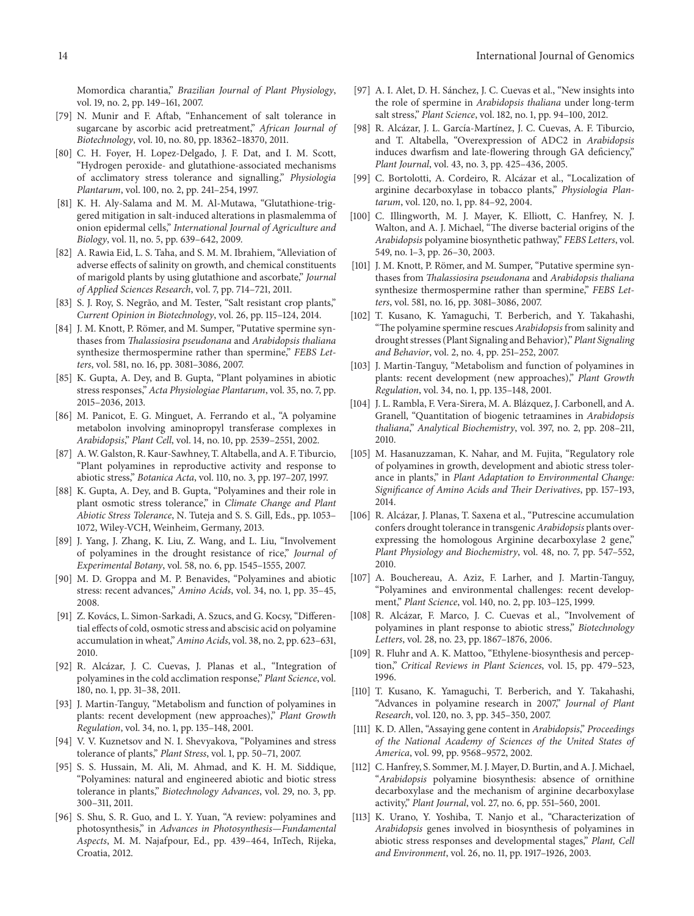Momordica charantia," *Brazilian Journal of Plant Physiology*, vol. 19, no. 2, pp. 149–161, 2007.

- <span id="page-13-0"></span>[79] N. Munir and F. Aftab, "Enhancement of salt tolerance in sugarcane by ascorbic acid pretreatment," *African Journal of Biotechnology*, vol. 10, no. 80, pp. 18362–18370, 2011.
- <span id="page-13-1"></span>[80] C. H. Foyer, H. Lopez-Delgado, J. F. Dat, and I. M. Scott, "Hydrogen peroxide- and glutathione-associated mechanisms of acclimatory stress tolerance and signalling," *Physiologia Plantarum*, vol. 100, no. 2, pp. 241–254, 1997.
- <span id="page-13-2"></span>[81] K. H. Aly-Salama and M. M. Al-Mutawa, "Glutathione-triggered mitigation in salt-induced alterations in plasmalemma of onion epidermal cells," *International Journal of Agriculture and Biology*, vol. 11, no. 5, pp. 639–642, 2009.
- <span id="page-13-3"></span>[82] A. Rawia Eid, L. S. Taha, and S. M. M. Ibrahiem, "Alleviation of adverse effects of salinity on growth, and chemical constituents of marigold plants by using glutathione and ascorbate," *Journal of Applied Sciences Research*, vol. 7, pp. 714–721, 2011.
- <span id="page-13-4"></span>[83] S. J. Roy, S. Negrão, and M. Tester, "Salt resistant crop plants," *Current Opinion in Biotechnology*, vol. 26, pp. 115–124, 2014.
- <span id="page-13-5"></span>[84] J. M. Knott, P. Römer, and M. Sumper, "Putative spermine synthases from *Thalassiosira pseudonana* and *Arabidopsis thaliana* synthesize thermospermine rather than spermine," *FEBS Letters*, vol. 581, no. 16, pp. 3081–3086, 2007.
- <span id="page-13-13"></span>[85] K. Gupta, A. Dey, and B. Gupta, "Plant polyamines in abiotic stress responses," *Acta Physiologiae Plantarum*, vol. 35, no. 7, pp. 2015–2036, 2013.
- [86] M. Panicot, E. G. Minguet, A. Ferrando et al., "A polyamine metabolon involving aminopropyl transferase complexes in *Arabidopsis*," *Plant Cell*, vol. 14, no. 10, pp. 2539–2551, 2002.
- <span id="page-13-6"></span>[87] A.W. Galston, R. Kaur-Sawhney, T. Altabella, and A. F. Tiburcio, "Plant polyamines in reproductive activity and response to abiotic stress," *Botanica Acta*, vol. 110, no. 3, pp. 197–207, 1997.
- <span id="page-13-7"></span>[88] K. Gupta, A. Dey, and B. Gupta, "Polyamines and their role in plant osmotic stress tolerance," in *Climate Change and Plant Abiotic Stress Tolerance*, N. Tuteja and S. S. Gill, Eds., pp. 1053– 1072, Wiley-VCH, Weinheim, Germany, 2013.
- [89] J. Yang, J. Zhang, K. Liu, Z. Wang, and L. Liu, "Involvement of polyamines in the drought resistance of rice," *Journal of Experimental Botany*, vol. 58, no. 6, pp. 1545–1555, 2007.
- [90] M. D. Groppa and M. P. Benavides, "Polyamines and abiotic stress: recent advances," *Amino Acids*, vol. 34, no. 1, pp. 35–45, 2008.
- <span id="page-13-8"></span>[91] Z. Kovács, L. Simon-Sarkadi, A. Szucs, and G. Kocsy, "Differential effects of cold, osmotic stress and abscisic acid on polyamine accumulation in wheat," *Amino Acids*, vol. 38, no. 2, pp. 623–631, 2010.
- <span id="page-13-9"></span>[92] R. Alcázar, J. C. Cuevas, J. Planas et al., "Integration of polyamines in the cold acclimation response," *Plant Science*, vol. 180, no. 1, pp. 31–38, 2011.
- [93] J. Martin-Tanguy, "Metabolism and function of polyamines in plants: recent development (new approaches)," *Plant Growth Regulation*, vol. 34, no. 1, pp. 135–148, 2001.
- [94] V. V. Kuznetsov and N. I. Shevyakova, "Polyamines and stress tolerance of plants," *Plant Stress*, vol. 1, pp. 50–71, 2007.
- [95] S. S. Hussain, M. Ali, M. Ahmad, and K. H. M. Siddique, "Polyamines: natural and engineered abiotic and biotic stress tolerance in plants," *Biotechnology Advances*, vol. 29, no. 3, pp. 300–311, 2011.
- <span id="page-13-10"></span>[96] S. Shu, S. R. Guo, and L. Y. Yuan, "A review: polyamines and photosynthesis," in *Advances in Photosynthesis—Fundamental Aspects*, M. M. Najafpour, Ed., pp. 439–464, InTech, Rijeka, Croatia, 2012.
- <span id="page-13-11"></span>[97] A. I. Alet, D. H. Sánchez, J. C. Cuevas et al., "New insights into the role of spermine in *Arabidopsis thaliana* under long-term salt stress," *Plant Science*, vol. 182, no. 1, pp. 94–100, 2012.
- [98] R. Alcázar, J. L. García-Martínez, J. C. Cuevas, A. F. Tiburcio, and T. Altabella, "Overexpression of ADC2 in *Arabidopsis* induces dwarfism and late-flowering through GA deficiency," *Plant Journal*, vol. 43, no. 3, pp. 425–436, 2005.
- [99] C. Bortolotti, A. Cordeiro, R. Alcázar et al., "Localization of arginine decarboxylase in tobacco plants," *Physiologia Plantarum*, vol. 120, no. 1, pp. 84–92, 2004.
- [100] C. Illingworth, M. J. Mayer, K. Elliott, C. Hanfrey, N. J. Walton, and A. J. Michael, "The diverse bacterial origins of the *Arabidopsis* polyamine biosynthetic pathway," *FEBS Letters*, vol. 549, no. 1–3, pp. 26–30, 2003.
- [101] J. M. Knott, P. Römer, and M. Sumper, "Putative spermine synthases from *Thalassiosira pseudonana* and *Arabidopsis thaliana* synthesize thermospermine rather than spermine," *FEBS Letters*, vol. 581, no. 16, pp. 3081–3086, 2007.
- [102] T. Kusano, K. Yamaguchi, T. Berberich, and Y. Takahashi, "The polyamine spermine rescues *Arabidopsis* from salinity and drought stresses (Plant Signaling and Behavior)," *Plant Signaling and Behavior*, vol. 2, no. 4, pp. 251–252, 2007.
- [103] J. Martin-Tanguy, "Metabolism and function of polyamines in plants: recent development (new approaches)," *Plant Growth Regulation*, vol. 34, no. 1, pp. 135–148, 2001.
- <span id="page-13-12"></span>[104] J. L. Rambla, F. Vera-Sirera, M. A. Blázquez, J. Carbonell, and A. Granell, "Quantitation of biogenic tetraamines in *Arabidopsis thaliana*," *Analytical Biochemistry*, vol. 397, no. 2, pp. 208–211, 2010.
- <span id="page-13-14"></span>[105] M. Hasanuzzaman, K. Nahar, and M. Fujita, "Regulatory role of polyamines in growth, development and abiotic stress tolerance in plants," in *Plant Adaptation to Environmental Change: Significance of Amino Acids and Their Derivatives*, pp. 157–193, 2014.
- <span id="page-13-15"></span>[106] R. Alcázar, J. Planas, T. Saxena et al., "Putrescine accumulation confers drought tolerance in transgenic *Arabidopsis* plants overexpressing the homologous Arginine decarboxylase 2 gene," *Plant Physiology and Biochemistry*, vol. 48, no. 7, pp. 547–552, 2010.
- <span id="page-13-16"></span>[107] A. Bouchereau, A. Aziz, F. Larher, and J. Martin-Tanguy, "Polyamines and environmental challenges: recent development," *Plant Science*, vol. 140, no. 2, pp. 103–125, 1999.
- <span id="page-13-17"></span>[108] R. Alcázar, F. Marco, J. C. Cuevas et al., "Involvement of polyamines in plant response to abiotic stress," *Biotechnology Letters*, vol. 28, no. 23, pp. 1867–1876, 2006.
- <span id="page-13-18"></span>[109] R. Fluhr and A. K. Mattoo, "Ethylene-biosynthesis and perception," *Critical Reviews in Plant Sciences*, vol. 15, pp. 479–523, 1996.
- <span id="page-13-19"></span>[110] T. Kusano, K. Yamaguchi, T. Berberich, and Y. Takahashi, "Advances in polyamine research in 2007," *Journal of Plant Research*, vol. 120, no. 3, pp. 345–350, 2007.
- [111] K. D. Allen, "Assaying gene content in *Arabidopsis*," *Proceedings of the National Academy of Sciences of the United States of America*, vol. 99, pp. 9568–9572, 2002.
- <span id="page-13-20"></span>[112] C. Hanfrey, S. Sommer, M. J. Mayer, D. Burtin, and A. J. Michael, "*Arabidopsis* polyamine biosynthesis: absence of ornithine decarboxylase and the mechanism of arginine decarboxylase activity," *Plant Journal*, vol. 27, no. 6, pp. 551–560, 2001.
- <span id="page-13-21"></span>[113] K. Urano, Y. Yoshiba, T. Nanjo et al., "Characterization of *Arabidopsis* genes involved in biosynthesis of polyamines in abiotic stress responses and developmental stages," *Plant, Cell and Environment*, vol. 26, no. 11, pp. 1917–1926, 2003.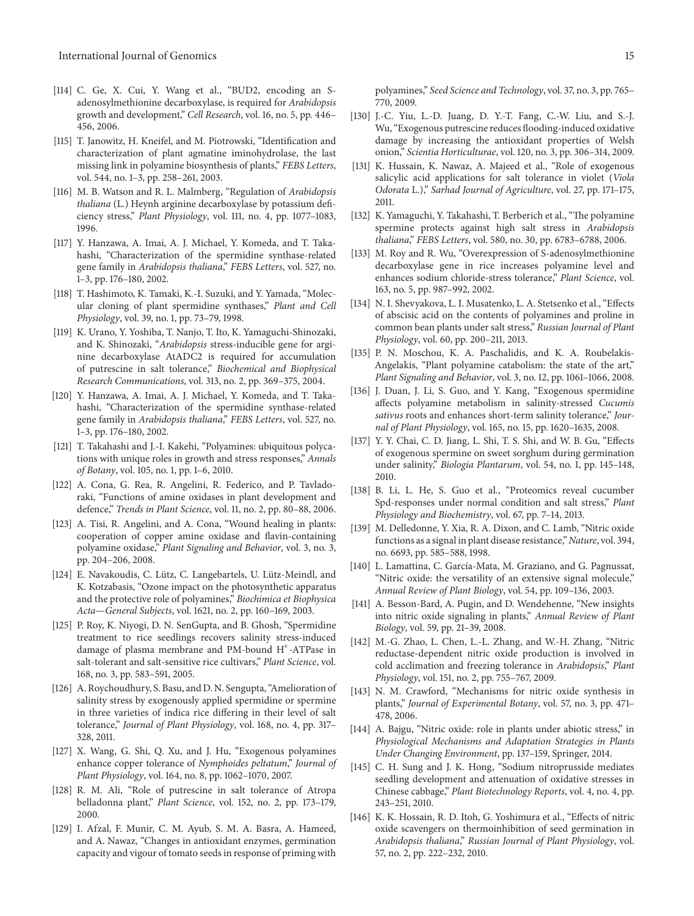- [114] C. Ge, X. Cui, Y. Wang et al., "BUD2, encoding an Sadenosylmethionine decarboxylase, is required for *Arabidopsis* growth and development," *Cell Research*, vol. 16, no. 5, pp. 446– 456, 2006.
- <span id="page-14-0"></span>[115] T. Janowitz, H. Kneifel, and M. Piotrowski, "Identification and characterization of plant agmatine iminohydrolase, the last missing link in polyamine biosynthesis of plants," *FEBS Letters*, vol. 544, no. 1–3, pp. 258–261, 2003.
- [116] M. B. Watson and R. L. Malmberg, "Regulation of *Arabidopsis thaliana* (L.) Heynh arginine decarboxylase by potassium deficiency stress," *Plant Physiology*, vol. 111, no. 4, pp. 1077–1083, 1996.
- [117] Y. Hanzawa, A. Imai, A. J. Michael, Y. Komeda, and T. Takahashi, "Characterization of the spermidine synthase-related gene family in *Arabidopsis thaliana*," *FEBS Letters*, vol. 527, no. 1–3, pp. 176–180, 2002.
- <span id="page-14-1"></span>[118] T. Hashimoto, K. Tamaki, K.-I. Suzuki, and Y. Yamada, "Molecular cloning of plant spermidine synthases," *Plant and Cell Physiology*, vol. 39, no. 1, pp. 73–79, 1998.
- <span id="page-14-2"></span>[119] K. Urano, Y. Yoshiba, T. Nanjo, T. Ito, K. Yamaguchi-Shinozaki, and K. Shinozaki, "*Arabidopsis* stress-inducible gene for arginine decarboxylase AtADC2 is required for accumulation of putrescine in salt tolerance," *Biochemical and Biophysical Research Communications*, vol. 313, no. 2, pp. 369–375, 2004.
- <span id="page-14-3"></span>[120] Y. Hanzawa, A. Imai, A. J. Michael, Y. Komeda, and T. Takahashi, "Characterization of the spermidine synthase-related gene family in *Arabidopsis thaliana*," *FEBS Letters*, vol. 527, no. 1–3, pp. 176–180, 2002.
- <span id="page-14-4"></span>[121] T. Takahashi and J.-I. Kakehi, "Polyamines: ubiquitous polycations with unique roles in growth and stress responses," *Annals of Botany*, vol. 105, no. 1, pp. 1–6, 2010.
- <span id="page-14-5"></span>[122] A. Cona, G. Rea, R. Angelini, R. Federico, and P. Tavladoraki, "Functions of amine oxidases in plant development and defence," *Trends in Plant Science*, vol. 11, no. 2, pp. 80–88, 2006.
- <span id="page-14-6"></span>[123] A. Tisi, R. Angelini, and A. Cona, "Wound healing in plants: cooperation of copper amine oxidase and flavin-containing polyamine oxidase," *Plant Signaling and Behavior*, vol. 3, no. 3, pp. 204–206, 2008.
- <span id="page-14-7"></span>[124] E. Navakoudis, C. Lütz, C. Langebartels, U. Lütz-Meindl, and K. Kotzabasis, "Ozone impact on the photosynthetic apparatus and the protective role of polyamines," *Biochimica et Biophysica Acta—General Subjects*, vol. 1621, no. 2, pp. 160–169, 2003.
- [125] P. Roy, K. Niyogi, D. N. SenGupta, and B. Ghosh, "Spermidine" treatment to rice seedlings recovers salinity stress-induced damage of plasma membrane and PM-bound H<sup>+</sup>-ATPase in salt-tolerant and salt-sensitive rice cultivars," *Plant Science*, vol. 168, no. 3, pp. 583–591, 2005.
- [126] A. Roychoudhury, S. Basu, and D. N. Sengupta, "Amelioration of salinity stress by exogenously applied spermidine or spermine in three varieties of indica rice differing in their level of salt tolerance," *Journal of Plant Physiology*, vol. 168, no. 4, pp. 317– 328, 2011.
- [127] X. Wang, G. Shi, Q. Xu, and J. Hu, "Exogenous polyamines enhance copper tolerance of *Nymphoides peltatum*," *Journal of Plant Physiology*, vol. 164, no. 8, pp. 1062–1070, 2007.
- [128] R. M. Ali, "Role of putrescine in salt tolerance of Atropa belladonna plant," *Plant Science*, vol. 152, no. 2, pp. 173–179, 2000.
- [129] I. Afzal, F. Munir, C. M. Ayub, S. M. A. Basra, A. Hameed, and A. Nawaz, "Changes in antioxidant enzymes, germination capacity and vigour of tomato seeds in response of priming with
- <span id="page-14-8"></span>[130] J.-C. Yiu, L.-D. Juang, D. Y.-T. Fang, C.-W. Liu, and S.-J. Wu, "Exogenous putrescine reduces flooding-induced oxidative damage by increasing the antioxidant properties of Welsh onion," *Scientia Horticulturae*, vol. 120, no. 3, pp. 306–314, 2009.
- <span id="page-14-9"></span>[131] K. Hussain, K. Nawaz, A. Majeed et al., "Role of exogenous salicylic acid applications for salt tolerance in violet (*Viola Odorata* L.)," *Sarhad Journal of Agriculture*, vol. 27, pp. 171–175, 2011.
- <span id="page-14-10"></span>[132] K. Yamaguchi, Y. Takahashi, T. Berberich et al., "The polyamine spermine protects against high salt stress in *Arabidopsis thaliana*," *FEBS Letters*, vol. 580, no. 30, pp. 6783–6788, 2006.
- <span id="page-14-11"></span>[133] M. Roy and R. Wu, "Overexpression of S-adenosylmethionine decarboxylase gene in rice increases polyamine level and enhances sodium chloride-stress tolerance," *Plant Science*, vol. 163, no. 5, pp. 987–992, 2002.
- <span id="page-14-12"></span>[134] N. I. Shevyakova, L. I. Musatenko, L. A. Stetsenko et al., "Effects of abscisic acid on the contents of polyamines and proline in common bean plants under salt stress," *Russian Journal of Plant Physiology*, vol. 60, pp. 200–211, 2013.
- <span id="page-14-13"></span>[135] P. N. Moschou, K. A. Paschalidis, and K. A. Roubelakis-Angelakis, "Plant polyamine catabolism: the state of the art," *Plant Signaling and Behavior*, vol. 3, no. 12, pp. 1061–1066, 2008.
- <span id="page-14-14"></span>[136] J. Duan, J. Li, S. Guo, and Y. Kang, "Exogenous spermidine" affects polyamine metabolism in salinity-stressed *Cucumis sativus* roots and enhances short-term salinity tolerance," *Journal of Plant Physiology*, vol. 165, no. 15, pp. 1620–1635, 2008.
- <span id="page-14-15"></span>[137] Y. Y. Chai, C. D. Jiang, L. Shi, T. S. Shi, and W. B. Gu, "Effects of exogenous spermine on sweet sorghum during germination under salinity," *Biologia Plantarum*, vol. 54, no. 1, pp. 145–148, 2010.
- <span id="page-14-16"></span>[138] B. Li, L. He, S. Guo et al., "Proteomics reveal cucumber Spd-responses under normal condition and salt stress," *Plant Physiology and Biochemistry*, vol. 67, pp. 7–14, 2013.
- <span id="page-14-17"></span>[139] M. Delledonne, Y. Xia, R. A. Dixon, and C. Lamb, "Nitric oxide functions as a signal in plant disease resistance," *Nature*, vol. 394, no. 6693, pp. 585–588, 1998.
- [140] L. Lamattina, C. García-Mata, M. Graziano, and G. Pagnussat, "Nitric oxide: the versatility of an extensive signal molecule," *Annual Review of Plant Biology*, vol. 54, pp. 109–136, 2003.
- [141] A. Besson-Bard, A. Pugin, and D. Wendehenne, "New insights into nitric oxide signaling in plants," *Annual Review of Plant Biology*, vol. 59, pp. 21–39, 2008.
- [142] M.-G. Zhao, L. Chen, L.-L. Zhang, and W.-H. Zhang, "Nitric reductase-dependent nitric oxide production is involved in cold acclimation and freezing tolerance in *Arabidopsis*," *Plant Physiology*, vol. 151, no. 2, pp. 755–767, 2009.
- <span id="page-14-18"></span>[143] N. M. Crawford, "Mechanisms for nitric oxide synthesis in plants," *Journal of Experimental Botany*, vol. 57, no. 3, pp. 471– 478, 2006.
- <span id="page-14-19"></span>[144] A. Bajgu, "Nitric oxide: role in plants under abiotic stress," in *Physiological Mechanisms and Adaptation Strategies in Plants Under Changing Environment*, pp. 137–159, Springer, 2014.
- <span id="page-14-20"></span>[145] C. H. Sung and J. K. Hong, "Sodium nitroprusside mediates seedling development and attenuation of oxidative stresses in Chinese cabbage," *Plant Biotechnology Reports*, vol. 4, no. 4, pp. 243–251, 2010.
- [146] K. K. Hossain, R. D. Itoh, G. Yoshimura et al., "Effects of nitric oxide scavengers on thermoinhibition of seed germination in *Arabidopsis thaliana*," *Russian Journal of Plant Physiology*, vol. 57, no. 2, pp. 222–232, 2010.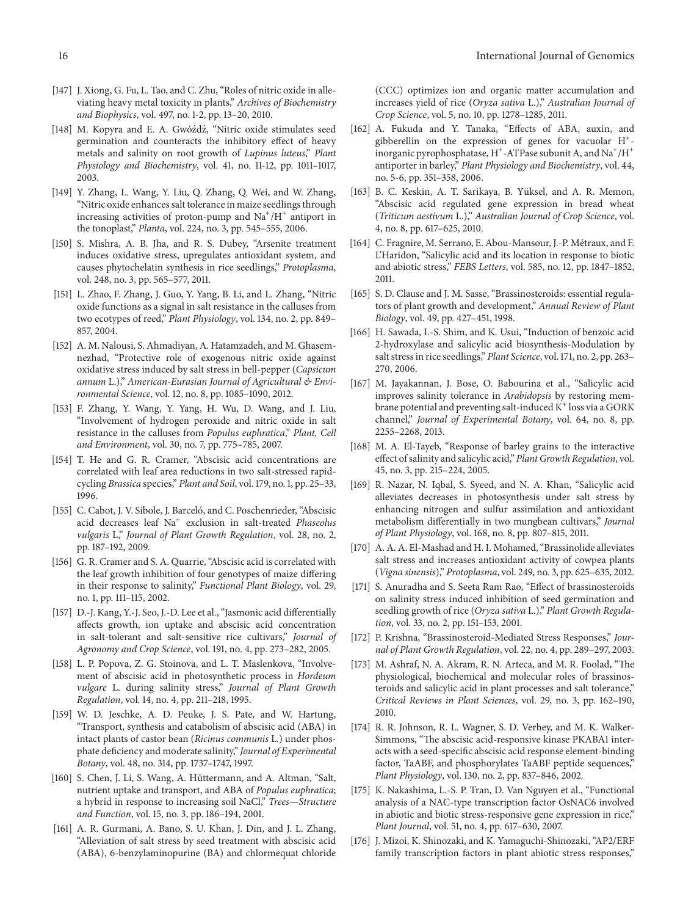- <span id="page-15-0"></span>[147] J. Xiong, G. Fu, L. Tao, and C. Zhu, "Roles of nitric oxide in alleviating heavy metal toxicity in plants," *Archives of Biochemistry and Biophysics*, vol. 497, no. 1-2, pp. 13–20, 2010.
- <span id="page-15-1"></span>[148] M. Kopyra and E. A. Gwóźdź, "Nitric oxide stimulates seed germination and counteracts the inhibitory effect of heavy metals and salinity on root growth of *Lupinus luteus*," *Plant Physiology and Biochemistry*, vol. 41, no. 11-12, pp. 1011–1017, 2003.
- <span id="page-15-2"></span>[149] Y. Zhang, L. Wang, Y. Liu, Q. Zhang, Q. Wei, and W. Zhang, "Nitric oxide enhances salt tolerance in maize seedlings through increasing activities of proton-pump and  $Na^+/H^+$  antiport in the tonoplast," *Planta*, vol. 224, no. 3, pp. 545–555, 2006.
- <span id="page-15-3"></span>[150] S. Mishra, A. B. Jha, and R. S. Dubey, "Arsenite treatment" induces oxidative stress, upregulates antioxidant system, and causes phytochelatin synthesis in rice seedlings," *Protoplasma*, vol. 248, no. 3, pp. 565–577, 2011.
- <span id="page-15-4"></span>[151] L. Zhao, F. Zhang, J. Guo, Y. Yang, B. Li, and L. Zhang, "Nitric oxide functions as a signal in salt resistance in the calluses from two ecotypes of reed," *Plant Physiology*, vol. 134, no. 2, pp. 849– 857, 2004.
- <span id="page-15-5"></span>[152] A. M. Nalousi, S. Ahmadiyan, A. Hatamzadeh, and M. Ghasemnezhad, "Protective role of exogenous nitric oxide against oxidative stress induced by salt stress in bell-pepper (*Capsicum annum* L.)," *American-Eurasian Journal of Agricultural & Environmental Science*, vol. 12, no. 8, pp. 1085–1090, 2012.
- <span id="page-15-6"></span>[153] F. Zhang, Y. Wang, Y. Yang, H. Wu, D. Wang, and J. Liu, "Involvement of hydrogen peroxide and nitric oxide in salt resistance in the calluses from *Populus euphratica*," *Plant, Cell and Environment*, vol. 30, no. 7, pp. 775–785, 2007.
- <span id="page-15-7"></span>[154] T. He and G. R. Cramer, "Abscisic acid concentrations are correlated with leaf area reductions in two salt-stressed rapidcycling *Brassica* species," *Plant and Soil*, vol. 179, no. 1, pp. 25–33, 1996.
- [155] C. Cabot, J. V. Sibole, J. Barceló, and C. Poschenrieder, "Abscisic acid decreases leaf Na<sup>+</sup> exclusion in salt-treated *Phaseolus vulgaris* L," *Journal of Plant Growth Regulation*, vol. 28, no. 2, pp. 187–192, 2009.
- [156] G. R. Cramer and S. A. Quarrie, "Abscisic acid is correlated with the leaf growth inhibition of four genotypes of maize differing in their response to salinity," *Functional Plant Biology*, vol. 29, no. 1, pp. 111–115, 2002.
- [157] D.-J. Kang, Y.-J. Seo, J.-D. Lee et al., "Jasmonic acid differentially affects growth, ion uptake and abscisic acid concentration in salt-tolerant and salt-sensitive rice cultivars," *Journal of Agronomy and Crop Science*, vol. 191, no. 4, pp. 273–282, 2005.
- <span id="page-15-8"></span>[158] L. P. Popova, Z. G. Stoinova, and L. T. Maslenkova, "Involvement of abscisic acid in photosynthetic process in *Hordeum vulgare* L. during salinity stress," *Journal of Plant Growth Regulation*, vol. 14, no. 4, pp. 211–218, 1995.
- <span id="page-15-9"></span>[159] W. D. Jeschke, A. D. Peuke, J. S. Pate, and W. Hartung, "Transport, synthesis and catabolism of abscisic acid (ABA) in intact plants of castor bean (*Ricinus communis* L.) under phosphate deficiency and moderate salinity," *Journal of Experimental Botany*, vol. 48, no. 314, pp. 1737–1747, 1997.
- <span id="page-15-10"></span>[160] S. Chen, J. Li, S. Wang, A. Hüttermann, and A. Altman, "Salt, nutrient uptake and transport, and ABA of *Populus euphratica*; a hybrid in response to increasing soil NaCl," *Trees—Structure and Function*, vol. 15, no. 3, pp. 186–194, 2001.
- <span id="page-15-11"></span>[161] A. R. Gurmani, A. Bano, S. U. Khan, J. Din, and J. L. Zhang, "Alleviation of salt stress by seed treatment with abscisic acid (ABA), 6-benzylaminopurine (BA) and chlormequat chloride

(CCC) optimizes ion and organic matter accumulation and increases yield of rice (*Oryza sativa* L.)," *Australian Journal of Crop Science*, vol. 5, no. 10, pp. 1278–1285, 2011.

- <span id="page-15-12"></span>[162] A. Fukuda and Y. Tanaka, "Effects of ABA, auxin, and gibberellin on the expression of genes for vacuolar H<sup>+</sup> inorganic pyrophosphatase,  $\rm H^+$  -ATPase subunit A, and  $\rm Na^+/H^+$ antiporter in barley," *Plant Physiology and Biochemistry*, vol. 44, no. 5-6, pp. 351–358, 2006.
- <span id="page-15-13"></span>[163] B. C. Keskin, A. T. Sarikaya, B. Yüksel, and A. R. Memon, "Abscisic acid regulated gene expression in bread wheat (*Triticum aestivum* L.)," *Australian Journal of Crop Science*, vol. 4, no. 8, pp. 617–625, 2010.
- <span id="page-15-14"></span>[164] C. Fragnire, M. Serrano, E. Abou-Mansour, J.-P. Métraux, and F. L'Haridon, "Salicylic acid and its location in response to biotic and abiotic stress," *FEBS Letters*, vol. 585, no. 12, pp. 1847–1852, 2011.
- <span id="page-15-15"></span>[165] S. D. Clause and J. M. Sasse, "Brassinosteroids: essential regulators of plant growth and development," *Annual Review of Plant Biology*, vol. 49, pp. 427–451, 1998.
- <span id="page-15-16"></span>[166] H. Sawada, I.-S. Shim, and K. Usui, "Induction of benzoic acid 2-hydroxylase and salicylic acid biosynthesis-Modulation by salt stress in rice seedlings," *Plant Science*, vol. 171, no. 2, pp. 263– 270, 2006.
- <span id="page-15-17"></span>[167] M. Jayakannan, J. Bose, O. Babourina et al., "Salicylic acid improves salinity tolerance in *Arabidopsis* by restoring membrane potential and preventing salt-induced  $\mathrm{K}^+$  loss via a GORK channel," *Journal of Experimental Botany*, vol. 64, no. 8, pp. 2255–2268, 2013.
- <span id="page-15-18"></span>[168] M. A. El-Tayeb, "Response of barley grains to the interactive effect of salinity and salicylic acid," *Plant Growth Regulation*, vol. 45, no. 3, pp. 215–224, 2005.
- <span id="page-15-19"></span>[169] R. Nazar, N. Iqbal, S. Syeed, and N. A. Khan, "Salicylic acid alleviates decreases in photosynthesis under salt stress by enhancing nitrogen and sulfur assimilation and antioxidant metabolism differentially in two mungbean cultivars," *Journal of Plant Physiology*, vol. 168, no. 8, pp. 807–815, 2011.
- <span id="page-15-20"></span>[170] A. A. A. El-Mashad and H. I. Mohamed, "Brassinolide alleviates salt stress and increases antioxidant activity of cowpea plants (*Vigna sinensis*)," *Protoplasma*, vol. 249, no. 3, pp. 625–635, 2012.
- [171] S. Anuradha and S. Seeta Ram Rao, "Effect of brassinosteroids on salinity stress induced inhibition of seed germination and seedling growth of rice (*Oryza sativa* L.)," *Plant Growth Regulation*, vol. 33, no. 2, pp. 151–153, 2001.
- [172] P. Krishna, "Brassinosteroid-Mediated Stress Responses," *Journal of Plant Growth Regulation*, vol. 22, no. 4, pp. 289–297, 2003.
- <span id="page-15-21"></span>[173] M. Ashraf, N. A. Akram, R. N. Arteca, and M. R. Foolad, "The physiological, biochemical and molecular roles of brassinosteroids and salicylic acid in plant processes and salt tolerance," *Critical Reviews in Plant Sciences*, vol. 29, no. 3, pp. 162–190, 2010.
- <span id="page-15-22"></span>[174] R. R. Johnson, R. L. Wagner, S. D. Verhey, and M. K. Walker-Simmons, "The abscisic acid-responsive kinase PKABA1 interacts with a seed-specific abscisic acid response element-binding factor, TaABF, and phosphorylates TaABF peptide sequences," *Plant Physiology*, vol. 130, no. 2, pp. 837–846, 2002.
- <span id="page-15-23"></span>[175] K. Nakashima, L.-S. P. Tran, D. Van Nguyen et al., "Functional analysis of a NAC-type transcription factor OsNAC6 involved in abiotic and biotic stress-responsive gene expression in rice," *Plant Journal*, vol. 51, no. 4, pp. 617–630, 2007.
- <span id="page-15-24"></span>[176] J. Mizoi, K. Shinozaki, and K. Yamaguchi-Shinozaki, "AP2/ERF family transcription factors in plant abiotic stress responses,"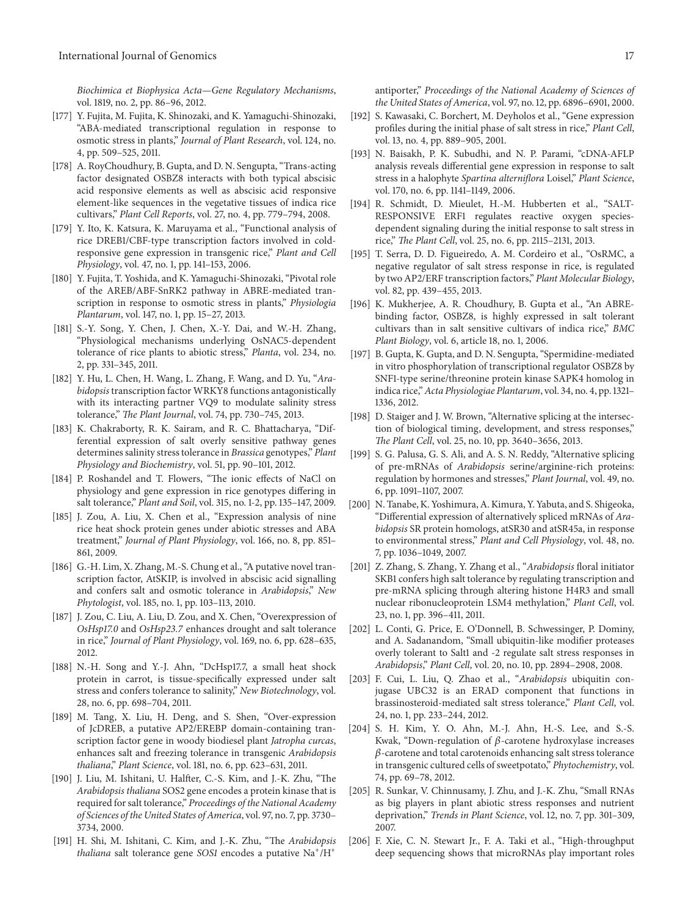*Biochimica et Biophysica Acta—Gene Regulatory Mechanisms*, vol. 1819, no. 2, pp. 86–96, 2012.

- [177] Y. Fujita, M. Fujita, K. Shinozaki, and K. Yamaguchi-Shinozaki, "ABA-mediated transcriptional regulation in response to osmotic stress in plants," *Journal of Plant Research*, vol. 124, no. 4, pp. 509–525, 2011.
- [178] A. RoyChoudhury, B. Gupta, and D. N. Sengupta, "Trans-acting factor designated OSBZ8 interacts with both typical abscisic acid responsive elements as well as abscisic acid responsive element-like sequences in the vegetative tissues of indica rice cultivars," *Plant Cell Reports*, vol. 27, no. 4, pp. 779–794, 2008.
- [179] Y. Ito, K. Katsura, K. Maruyama et al., "Functional analysis of rice DREB1/CBF-type transcription factors involved in coldresponsive gene expression in transgenic rice," *Plant and Cell Physiology*, vol. 47, no. 1, pp. 141–153, 2006.
- <span id="page-16-0"></span>[180] Y. Fujita, T. Yoshida, and K. Yamaguchi-Shinozaki, "Pivotal role of the AREB/ABF-SnRK2 pathway in ABRE-mediated transcription in response to osmotic stress in plants," *Physiologia Plantarum*, vol. 147, no. 1, pp. 15–27, 2013.
- <span id="page-16-1"></span>[181] S.-Y. Song, Y. Chen, J. Chen, X.-Y. Dai, and W.-H. Zhang, "Physiological mechanisms underlying OsNAC5-dependent tolerance of rice plants to abiotic stress," *Planta*, vol. 234, no. 2, pp. 331–345, 2011.
- <span id="page-16-2"></span>[182] Y. Hu, L. Chen, H. Wang, L. Zhang, F. Wang, and D. Yu, "*Arabidopsis* transcription factor WRKY8 functions antagonistically with its interacting partner VQ9 to modulate salinity stress tolerance," *The Plant Journal*, vol. 74, pp. 730–745, 2013.
- <span id="page-16-3"></span>[183] K. Chakraborty, R. K. Sairam, and R. C. Bhattacharya, "Differential expression of salt overly sensitive pathway genes determines salinity stress tolerance in *Brassica* genotypes," *Plant Physiology and Biochemistry*, vol. 51, pp. 90–101, 2012.
- <span id="page-16-9"></span>[184] P. Roshandel and T. Flowers, "The ionic effects of NaCl on physiology and gene expression in rice genotypes differing in salt tolerance," *Plant and Soil*, vol. 315, no. 1-2, pp. 135–147, 2009.
- <span id="page-16-10"></span>[185] J. Zou, A. Liu, X. Chen et al., "Expression analysis of nine rice heat shock protein genes under abiotic stresses and ABA treatment," *Journal of Plant Physiology*, vol. 166, no. 8, pp. 851– 861, 2009.
- <span id="page-16-11"></span>[186] G.-H. Lim, X. Zhang, M.-S. Chung et al., "A putative novel transcription factor, AtSKIP, is involved in abscisic acid signalling and confers salt and osmotic tolerance in *Arabidopsis*," *New Phytologist*, vol. 185, no. 1, pp. 103–113, 2010.
- <span id="page-16-12"></span>[187] J. Zou, C. Liu, A. Liu, D. Zou, and X. Chen, "Overexpression of *OsHsp17.0* and *OsHsp23.7* enhances drought and salt tolerance in rice," *Journal of Plant Physiology*, vol. 169, no. 6, pp. 628–635, 2012.
- <span id="page-16-13"></span>[188] N.-H. Song and Y.-J. Ahn, "DcHsp17.7, a small heat shock protein in carrot, is tissue-specifically expressed under salt stress and confers tolerance to salinity," *New Biotechnology*, vol. 28, no. 6, pp. 698–704, 2011.
- <span id="page-16-14"></span>[189] M. Tang, X. Liu, H. Deng, and S. Shen, "Over-expression of JcDREB, a putative AP2/EREBP domain-containing transcription factor gene in woody biodiesel plant *Jatropha curcas*, enhances salt and freezing tolerance in transgenic *Arabidopsis thaliana*," *Plant Science*, vol. 181, no. 6, pp. 623–631, 2011.
- <span id="page-16-5"></span>[190] J. Liu, M. Ishitani, U. Halfter, C.-S. Kim, and J.-K. Zhu, "The *Arabidopsis thaliana* SOS2 gene encodes a protein kinase that is required for salt tolerance," *Proceedings of the National Academy of Sciences of the United States of America*, vol. 97, no. 7, pp. 3730– 3734, 2000.
- <span id="page-16-6"></span>[191] H. Shi, M. Ishitani, C. Kim, and J.-K. Zhu, "The *Arabidopsis thaliana* salt tolerance gene *SOS1* encodes a putative Na<sup>+</sup>/H<sup>+</sup>

antiporter," *Proceedings of the National Academy of Sciences of the United States of America*, vol. 97, no. 12, pp. 6896–6901, 2000.

- <span id="page-16-4"></span>[192] S. Kawasaki, C. Borchert, M. Deyholos et al., "Gene expression profiles during the initial phase of salt stress in rice," *Plant Cell*, vol. 13, no. 4, pp. 889–905, 2001.
- <span id="page-16-7"></span>[193] N. Baisakh, P. K. Subudhi, and N. P. Parami, "cDNA-AFLP analysis reveals differential gene expression in response to salt stress in a halophyte *Spartina alterniflora* Loisel," *Plant Science*, vol. 170, no. 6, pp. 1141–1149, 2006.
- <span id="page-16-8"></span>[194] R. Schmidt, D. Mieulet, H.-M. Hubberten et al., "SALT-RESPONSIVE ERF1 regulates reactive oxygen speciesdependent signaling during the initial response to salt stress in rice," *The Plant Cell*, vol. 25, no. 6, pp. 2115–2131, 2013.
- <span id="page-16-15"></span>[195] T. Serra, D. D. Figueiredo, A. M. Cordeiro et al., "OsRMC, a negative regulator of salt stress response in rice, is regulated by two AP2/ERF transcription factors," *Plant Molecular Biology*, vol. 82, pp. 439–455, 2013.
- <span id="page-16-16"></span>[196] K. Mukherjee, A. R. Choudhury, B. Gupta et al., "An ABREbinding factor, OSBZ8, is highly expressed in salt tolerant cultivars than in salt sensitive cultivars of indica rice," *BMC Plant Biology*, vol. 6, article 18, no. 1, 2006.
- <span id="page-16-17"></span>[197] B. Gupta, K. Gupta, and D. N. Sengupta, "Spermidine-mediated in vitro phosphorylation of transcriptional regulator OSBZ8 by SNF1-type serine/threonine protein kinase SAPK4 homolog in indica rice,"*Acta Physiologiae Plantarum*, vol. 34, no. 4, pp. 1321– 1336, 2012.
- <span id="page-16-18"></span>[198] D. Staiger and J. W. Brown, "Alternative splicing at the intersection of biological timing, development, and stress responses," *The Plant Cell*, vol. 25, no. 10, pp. 3640–3656, 2013.
- [199] S. G. Palusa, G. S. Ali, and A. S. N. Reddy, "Alternative splicing of pre-mRNAs of *Arabidopsis* serine/arginine-rich proteins: regulation by hormones and stresses," *Plant Journal*, vol. 49, no. 6, pp. 1091–1107, 2007.
- <span id="page-16-19"></span>[200] N. Tanabe, K. Yoshimura, A. Kimura, Y. Yabuta, and S. Shigeoka, "Differential expression of alternatively spliced mRNAs of *Arabidopsis* SR protein homologs, atSR30 and atSR45a, in response to environmental stress," *Plant and Cell Physiology*, vol. 48, no. 7, pp. 1036–1049, 2007.
- <span id="page-16-20"></span>[201] Z. Zhang, S. Zhang, Y. Zhang et al., "*Arabidopsis* floral initiator SKB1 confers high salt tolerance by regulating transcription and pre-mRNA splicing through altering histone H4R3 and small nuclear ribonucleoprotein LSM4 methylation," *Plant Cell*, vol. 23, no. 1, pp. 396–411, 2011.
- <span id="page-16-21"></span>[202] L. Conti, G. Price, E. O'Donnell, B. Schwessinger, P. Dominy, and A. Sadanandom, "Small ubiquitin-like modifier proteases overly tolerant to Salt1 and -2 regulate salt stress responses in *Arabidopsis*," *Plant Cell*, vol. 20, no. 10, pp. 2894–2908, 2008.
- <span id="page-16-22"></span>[203] F. Cui, L. Liu, Q. Zhao et al., "*Arabidopsis* ubiquitin conjugase UBC32 is an ERAD component that functions in brassinosteroid-mediated salt stress tolerance," *Plant Cell*, vol. 24, no. 1, pp. 233–244, 2012.
- <span id="page-16-23"></span>[204] S. H. Kim, Y. O. Ahn, M.-J. Ahn, H.-S. Lee, and S.-S. Kwak, "Down-regulation of  $\beta$ -carotene hydroxylase increases  $\beta$ -carotene and total carotenoids enhancing salt stress tolerance in transgenic cultured cells of sweetpotato," *Phytochemistry*, vol. 74, pp. 69–78, 2012.
- <span id="page-16-24"></span>[205] R. Sunkar, V. Chinnusamy, J. Zhu, and J.-K. Zhu, "Small RNAs as big players in plant abiotic stress responses and nutrient deprivation," *Trends in Plant Science*, vol. 12, no. 7, pp. 301–309, 2007.
- <span id="page-16-25"></span>[206] F. Xie, C. N. Stewart Jr., F. A. Taki et al., "High-throughput deep sequencing shows that microRNAs play important roles